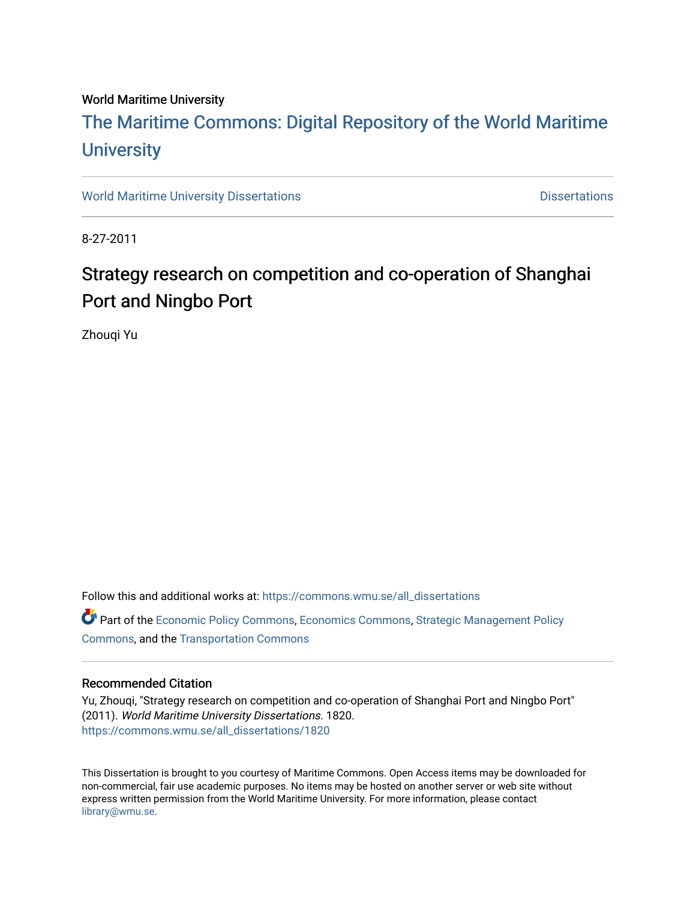#### World Maritime University

# [The Maritime Commons: Digital Repository of the World Maritime](https://commons.wmu.se/)  **University**

[World Maritime University Dissertations](https://commons.wmu.se/all_dissertations) **Distributions** [Dissertations](https://commons.wmu.se/dissertations) Dissertations

8-27-2011

# Strategy research on competition and co-operation of Shanghai Port and Ningbo Port

Zhouqi Yu

Follow this and additional works at: [https://commons.wmu.se/all\\_dissertations](https://commons.wmu.se/all_dissertations?utm_source=commons.wmu.se%2Fall_dissertations%2F1820&utm_medium=PDF&utm_campaign=PDFCoverPages) 

Part of the [Economic Policy Commons](http://network.bepress.com/hgg/discipline/1025?utm_source=commons.wmu.se%2Fall_dissertations%2F1820&utm_medium=PDF&utm_campaign=PDFCoverPages), [Economics Commons,](http://network.bepress.com/hgg/discipline/340?utm_source=commons.wmu.se%2Fall_dissertations%2F1820&utm_medium=PDF&utm_campaign=PDFCoverPages) [Strategic Management Policy](http://network.bepress.com/hgg/discipline/642?utm_source=commons.wmu.se%2Fall_dissertations%2F1820&utm_medium=PDF&utm_campaign=PDFCoverPages) [Commons](http://network.bepress.com/hgg/discipline/642?utm_source=commons.wmu.se%2Fall_dissertations%2F1820&utm_medium=PDF&utm_campaign=PDFCoverPages), and the [Transportation Commons](http://network.bepress.com/hgg/discipline/1068?utm_source=commons.wmu.se%2Fall_dissertations%2F1820&utm_medium=PDF&utm_campaign=PDFCoverPages)

#### Recommended Citation

Yu, Zhouqi, "Strategy research on competition and co-operation of Shanghai Port and Ningbo Port" (2011). World Maritime University Dissertations. 1820. [https://commons.wmu.se/all\\_dissertations/1820](https://commons.wmu.se/all_dissertations/1820?utm_source=commons.wmu.se%2Fall_dissertations%2F1820&utm_medium=PDF&utm_campaign=PDFCoverPages)

This Dissertation is brought to you courtesy of Maritime Commons. Open Access items may be downloaded for non-commercial, fair use academic purposes. No items may be hosted on another server or web site without express written permission from the World Maritime University. For more information, please contact [library@wmu.se](mailto:library@wmu.edu).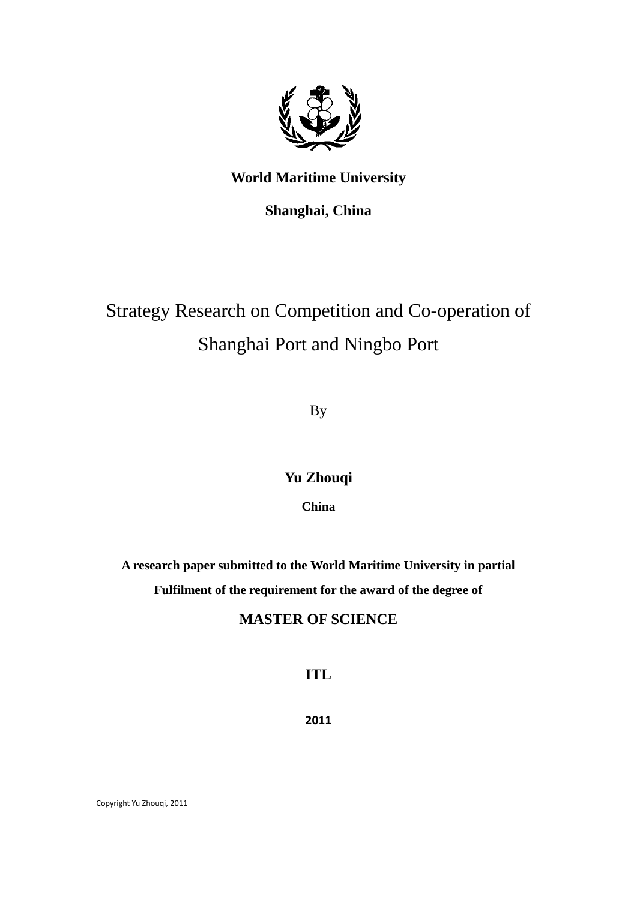

## **World Maritime University**

**Shanghai, China**

# Strategy Research on Competition and Co-operation of Shanghai Port and Ningbo Port

By

## **Yu Zhouqi**

**China**

**A research paper submitted to the World Maritime University in partial Fulfilment of the requirement for the award of the degree of**

## **MASTER OF SCIENCE**

**ITL**

**2011**

Copyright Yu Zhouqi, 2011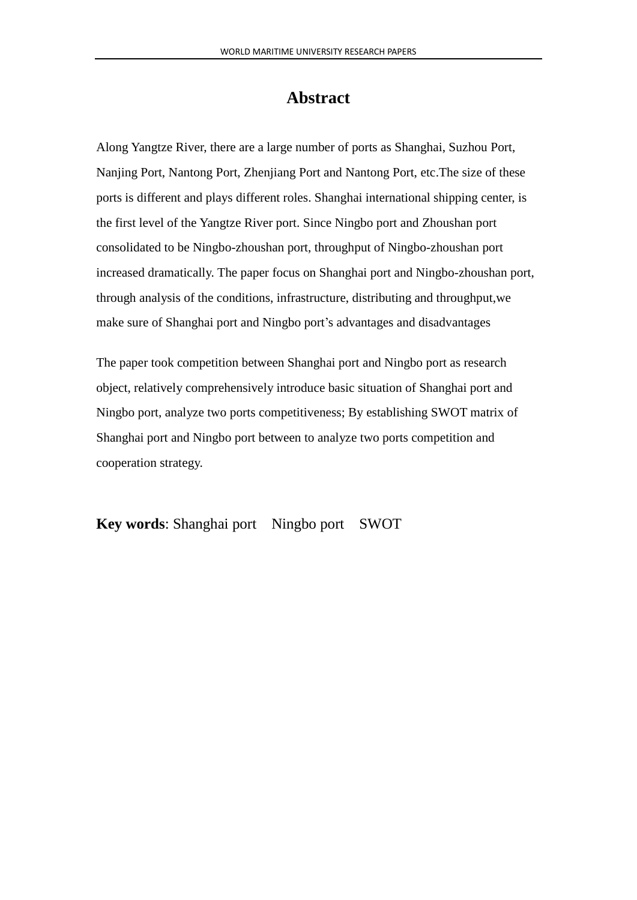# **Abstract**

<span id="page-2-0"></span>Along Yangtze River, there are a large number of ports as Shanghai, Suzhou Port, Nanjing Port, Nantong Port, Zhenjiang Port and Nantong Port, etc.The size of these ports is different and plays different roles. Shanghai international shipping center, is the first level of the Yangtze River port. Since Ningbo port and Zhoushan port consolidated to be Ningbo-zhoushan port, throughput of Ningbo-zhoushan port increased dramatically. The paper focus on Shanghai port and Ningbo-zhoushan port, through analysis of the conditions, infrastructure, distributing and throughput,we make sure of Shanghai port and Ningbo port's advantages and disadvantages

The paper took competition between Shanghai port and Ningbo port as research object, relatively comprehensively introduce basic situation of Shanghai port and Ningbo port, analyze two ports competitiveness; By establishing SWOT matrix of Shanghai port and Ningbo port between to analyze two ports competition and cooperation strategy.

**Key words**: Shanghai port Ningbo port SWOT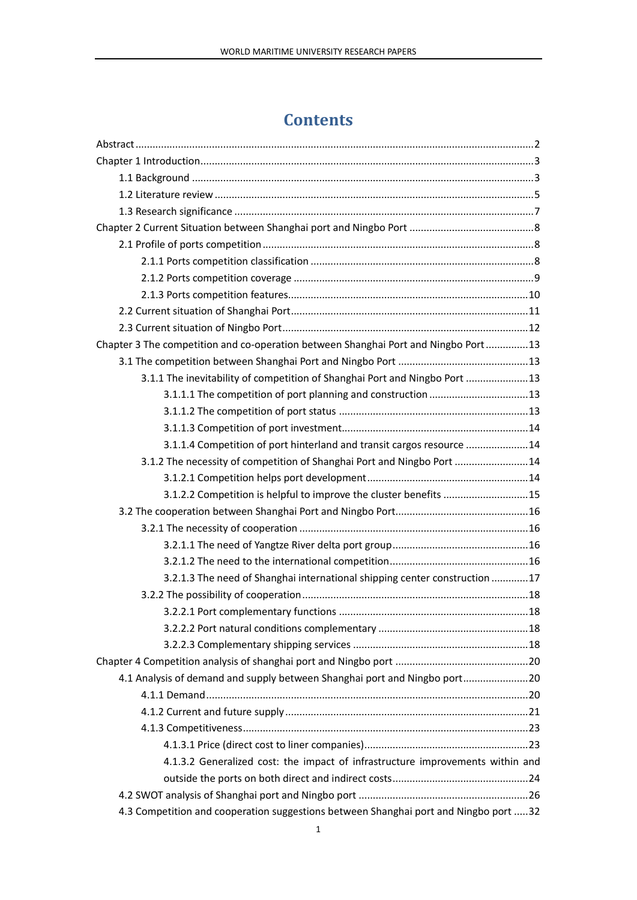# **Contents**

| Chapter 3 The competition and co-operation between Shanghai Port and Ningbo Port13    |  |
|---------------------------------------------------------------------------------------|--|
|                                                                                       |  |
| 3.1.1 The inevitability of competition of Shanghai Port and Ningbo Port  13           |  |
|                                                                                       |  |
|                                                                                       |  |
|                                                                                       |  |
| 3.1.1.4 Competition of port hinterland and transit cargos resource 14                 |  |
| 3.1.2 The necessity of competition of Shanghai Port and Ningbo Port 14                |  |
|                                                                                       |  |
| 3.1.2.2 Competition is helpful to improve the cluster benefits 15                     |  |
|                                                                                       |  |
|                                                                                       |  |
|                                                                                       |  |
|                                                                                       |  |
| 3.2.1.3 The need of Shanghai international shipping center construction 17            |  |
|                                                                                       |  |
|                                                                                       |  |
|                                                                                       |  |
|                                                                                       |  |
|                                                                                       |  |
| 4.1 Analysis of demand and supply between Shanghai port and Ningbo port20             |  |
|                                                                                       |  |
|                                                                                       |  |
|                                                                                       |  |
|                                                                                       |  |
| 4.1.3.2 Generalized cost: the impact of infrastructure improvements within and        |  |
|                                                                                       |  |
|                                                                                       |  |
| 4.3 Competition and cooperation suggestions between Shanghai port and Ningbo port  32 |  |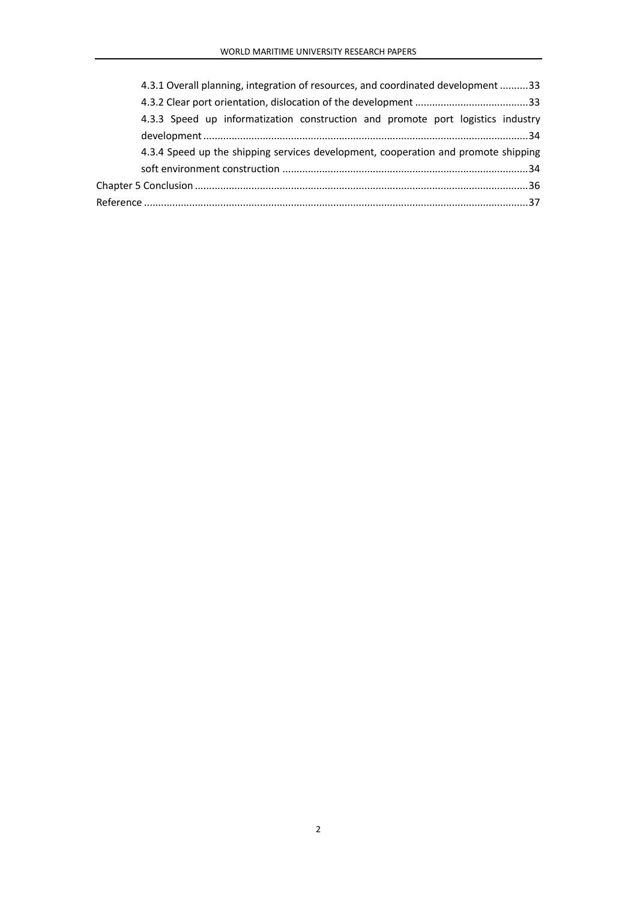| 4.3.1 Overall planning, integration of resources, and coordinated development 33   |  |
|------------------------------------------------------------------------------------|--|
|                                                                                    |  |
| 4.3.3 Speed up informatization construction and promote port logistics industry    |  |
|                                                                                    |  |
| 4.3.4 Speed up the shipping services development, cooperation and promote shipping |  |
|                                                                                    |  |
|                                                                                    |  |
|                                                                                    |  |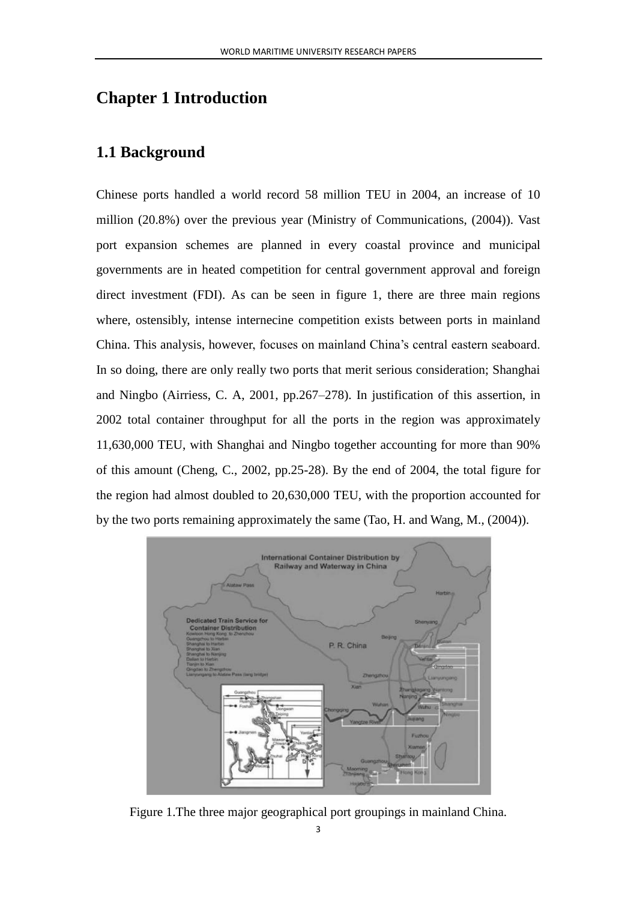## <span id="page-5-0"></span>**Chapter 1 Introduction**

### <span id="page-5-1"></span>**1.1 Background**

Chinese ports handled a world record 58 million TEU in 2004, an increase of 10 million (20.8%) over the previous year (Ministry of Communications, (2004)). Vast port expansion schemes are planned in every coastal province and municipal governments are in heated competition for central government approval and foreign direct investment (FDI). As can be seen in figure 1, there are three main regions where, ostensibly, intense internecine competition exists between ports in mainland China. This analysis, however, focuses on mainland China's central eastern seaboard. In so doing, there are only really two ports that merit serious consideration; Shanghai and Ningbo (Airriess, C. A, 2001, pp.267–278). In justification of this assertion, in 2002 total container throughput for all the ports in the region was approximately 11,630,000 TEU, with Shanghai and Ningbo together accounting for more than 90% of this amount (Cheng, C., 2002, pp.25-28). By the end of 2004, the total figure for the region had almost doubled to 20,630,000 TEU, with the proportion accounted for by the two ports remaining approximately the same (Tao, H. and Wang, M., (2004)).



Figure 1.The three major geographical port groupings in mainland China.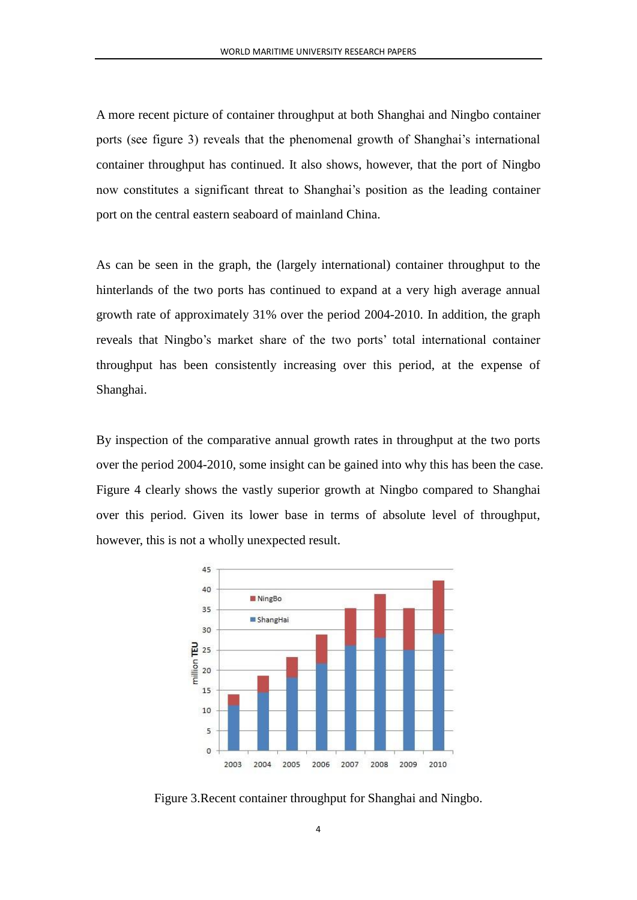A more recent picture of container throughput at both Shanghai and Ningbo container ports (see figure 3) reveals that the phenomenal growth of Shanghai's international container throughput has continued. It also shows, however, that the port of Ningbo now constitutes a significant threat to Shanghai's position as the leading container port on the central eastern seaboard of mainland China.

As can be seen in the graph, the (largely international) container throughput to the hinterlands of the two ports has continued to expand at a very high average annual growth rate of approximately 31% over the period 2004-2010. In addition, the graph reveals that Ningbo's market share of the two ports' total international container throughput has been consistently increasing over this period, at the expense of Shanghai.

By inspection of the comparative annual growth rates in throughput at the two ports over the period 2004-2010, some insight can be gained into why this has been the case. Figure 4 clearly shows the vastly superior growth at Ningbo compared to Shanghai over this period. Given its lower base in terms of absolute level of throughput, however, this is not a wholly unexpected result.



Figure 3.Recent container throughput for Shanghai and Ningbo.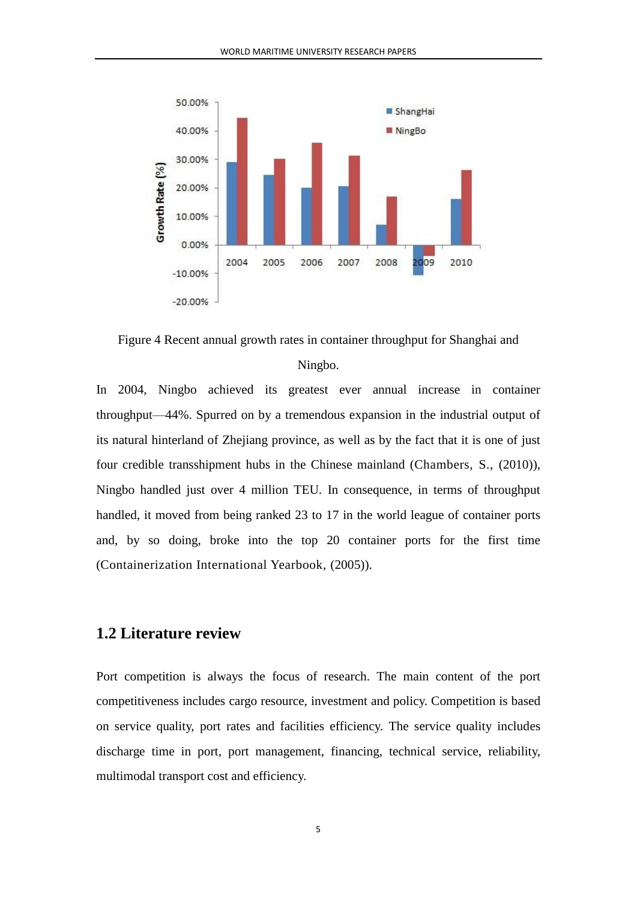

Figure 4 Recent annual growth rates in container throughput for Shanghai and Ningbo.

In 2004, Ningbo achieved its greatest ever annual increase in container throughput—44%. Spurred on by a tremendous expansion in the industrial output of its natural hinterland of Zhejiang province, as well as by the fact that it is one of just four credible transshipment hubs in the Chinese mainland (Chambers, S., (2010)), Ningbo handled just over 4 million TEU. In consequence, in terms of throughput handled, it moved from being ranked 23 to 17 in the world league of container ports and, by so doing, broke into the top 20 container ports for the first time (Containerization International Yearbook, (2005)).

### <span id="page-7-0"></span>**1.2 Literature review**

Port competition is always the focus of research. The main content of the port competitiveness includes cargo resource, investment and policy. Competition is based on service quality, port rates and facilities efficiency. The service quality includes discharge time in port, port management, financing, technical service, reliability, multimodal transport cost and efficiency.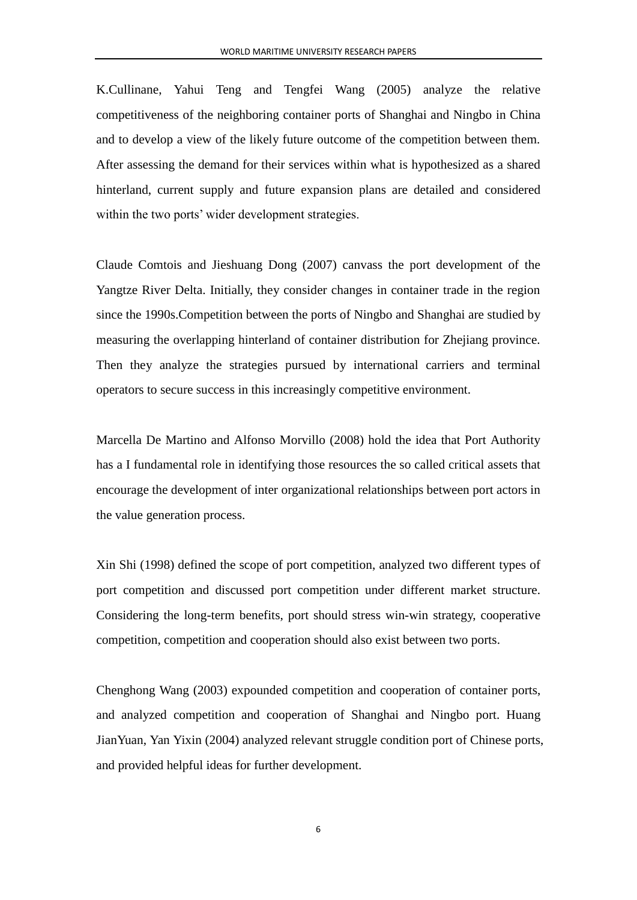K.Cullinane, Yahui Teng and Tengfei Wang (2005) analyze the relative competitiveness of the neighboring container ports of Shanghai and Ningbo in China and to develop a view of the likely future outcome of the competition between them. After assessing the demand for their services within what is hypothesized as a shared hinterland, current supply and future expansion plans are detailed and considered within the two ports' wider development strategies.

Claude Comtois and Jieshuang Dong (2007) canvass the port development of the Yangtze River Delta. Initially, they consider changes in container trade in the region since the 1990s.Competition between the ports of Ningbo and Shanghai are studied by measuring the overlapping hinterland of container distribution for Zhejiang province. Then they analyze the strategies pursued by international carriers and terminal operators to secure success in this increasingly competitive environment.

Marcella De Martino and Alfonso Morvillo (2008) hold the idea that Port Authority has a I fundamental role in identifying those resources the so called critical assets that encourage the development of inter organizational relationships between port actors in the value generation process.

Xin Shi (1998) defined the scope of port competition, analyzed two different types of port competition and discussed port competition under different market structure. Considering the long-term benefits, port should stress win-win strategy, cooperative competition, competition and cooperation should also exist between two ports.

Chenghong Wang (2003) expounded competition and cooperation of container ports, and analyzed competition and cooperation of Shanghai and Ningbo port. Huang JianYuan, Yan Yixin (2004) analyzed relevant struggle condition port of Chinese ports, and provided helpful ideas for further development.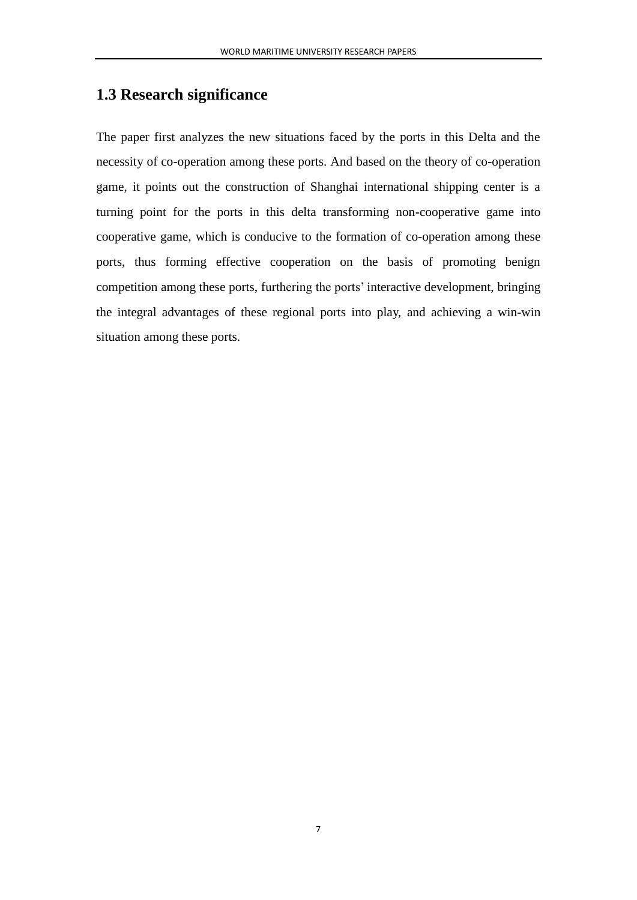## <span id="page-9-0"></span>**1.3 Research significance**

<span id="page-9-1"></span>The paper first analyzes the new situations faced by the ports in this Delta and the necessity of co-operation among these ports. And based on the theory of co-operation game, it points out the construction of Shanghai international shipping center is a turning point for the ports in this delta transforming non-cooperative game into cooperative game, which is conducive to the formation of co-operation among these ports, thus forming effective cooperation on the basis of promoting benign competition among these ports, furthering the ports' interactive development, bringing the integral advantages of these regional ports into play, and achieving a win-win situation among these ports.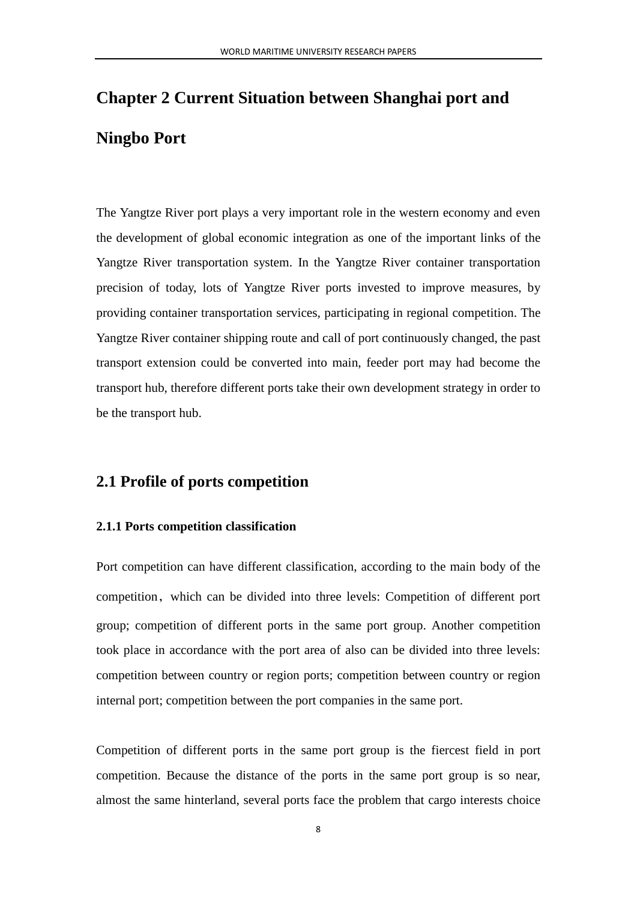# **Chapter 2 Current Situation between Shanghai port and Ningbo Port**

The Yangtze River port plays a very important role in the western economy and even the development of global economic integration as one of the important links of the Yangtze River transportation system. In the Yangtze River container transportation precision of today, lots of Yangtze River ports invested to improve measures, by providing container transportation services, participating in regional competition. The Yangtze River container shipping route and call of port continuously changed, the past transport extension could be converted into main, feeder port may had become the transport hub, therefore different ports take their own development strategy in order to be the transport hub.

# <span id="page-10-0"></span>**2.1 Profile of ports competition**

#### <span id="page-10-1"></span>**2.1.1 Ports competition classification**

Port competition can have different classification, according to the main body of the competition, which can be divided into three levels: Competition of different port group; competition of different ports in the same port group. Another competition took place in accordance with the port area of also can be divided into three levels: competition between country or region ports; competition between country or region internal port; competition between the port companies in the same port.

Competition of different ports in the same port group is the fiercest field in port competition. Because the distance of the ports in the same port group is so near, almost the same hinterland, several ports face the problem that cargo interests choice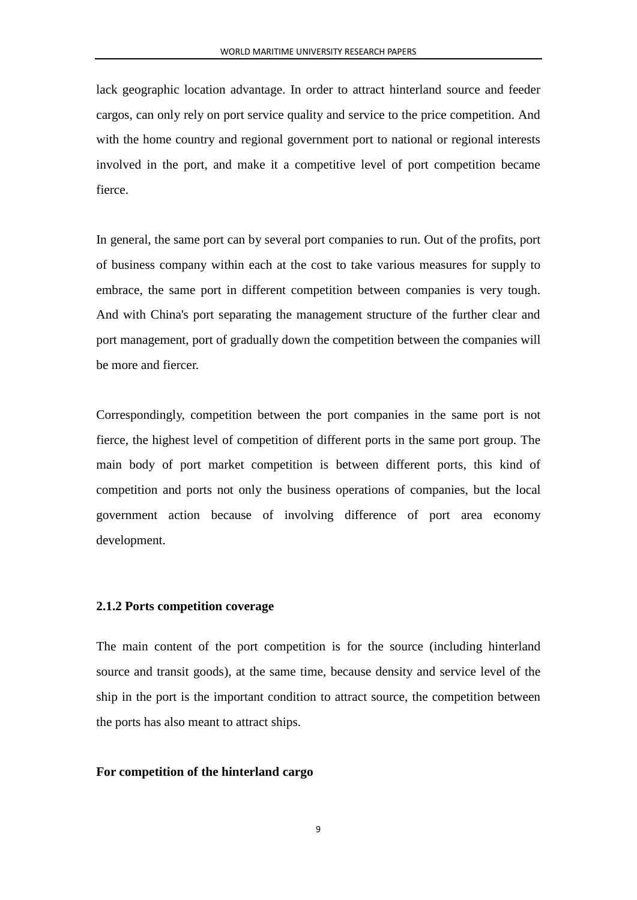lack geographic location advantage. In order to attract hinterland source and feeder cargos, can only rely on port service quality and service to the price competition. And with the home country and regional government port to national or regional interests involved in the port, and make it a competitive level of port competition became fierce.

In general, the same port can by several port companies to run. Out of the profits, port of business company within each at the cost to take various measures for supply to embrace, the same port in different competition between companies is very tough. And with China's port separating the management structure of the further clear and port management, port of gradually down the competition between the companies will be more and fiercer.

Correspondingly, competition between the port companies in the same port is not fierce, the highest level of competition of different ports in the same port group. The main body of port market competition is between different ports, this kind of competition and ports not only the business operations of companies, but the local government action because of involving difference of port area economy development.

#### <span id="page-11-0"></span>**2.1.2 Ports competition coverage**

The main content of the port competition is for the source (including hinterland source and transit goods), at the same time, because density and service level of the ship in the port is the important condition to attract source, the competition between the ports has also meant to attract ships.

#### **For competition of the hinterland cargo**

9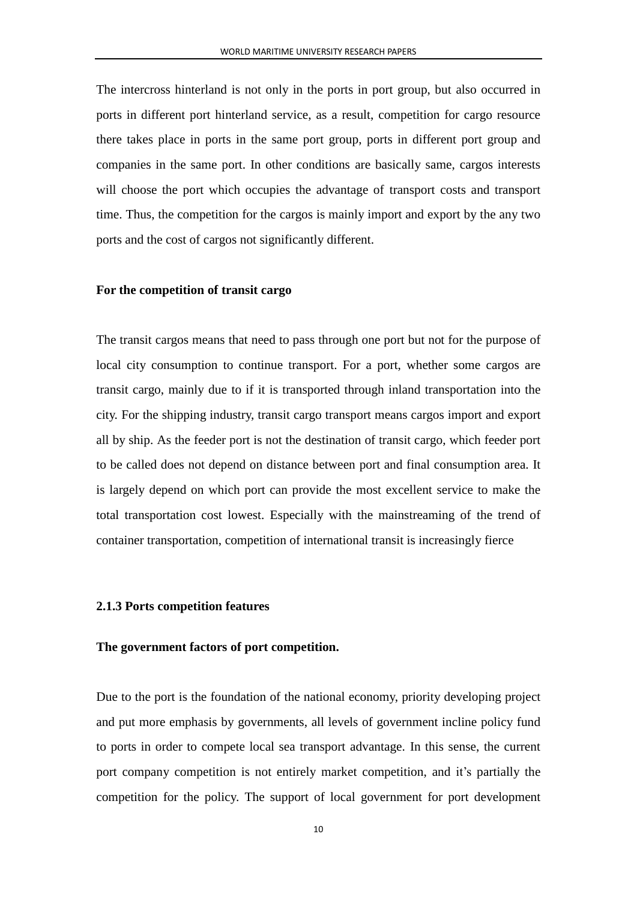The intercross hinterland is not only in the ports in port group, but also occurred in ports in different port hinterland service, as a result, competition for cargo resource there takes place in ports in the same port group, ports in different port group and companies in the same port. In other conditions are basically same, cargos interests will choose the port which occupies the advantage of transport costs and transport time. Thus, the competition for the cargos is mainly import and export by the any two ports and the cost of cargos not significantly different.

#### **For the competition of transit cargo**

The transit cargos means that need to pass through one port but not for the purpose of local city consumption to continue transport. For a port, whether some cargos are transit cargo, mainly due to if it is transported through inland transportation into the city. For the shipping industry, transit cargo transport means cargos import and export all by ship. As the feeder port is not the destination of transit cargo, which feeder port to be called does not depend on distance between port and final consumption area. It is largely depend on which port can provide the most excellent service to make the total transportation cost lowest. Especially with the mainstreaming of the trend of container transportation, competition of international transit is increasingly fierce

#### <span id="page-12-0"></span>**2.1.3 Ports competition features**

#### **The government factors of port competition.**

Due to the port is the foundation of the national economy, priority developing project and put more emphasis by governments, all levels of government incline policy fund to ports in order to compete local sea transport advantage. In this sense, the current port company competition is not entirely market competition, and it's partially the competition for the policy. The support of local government for port development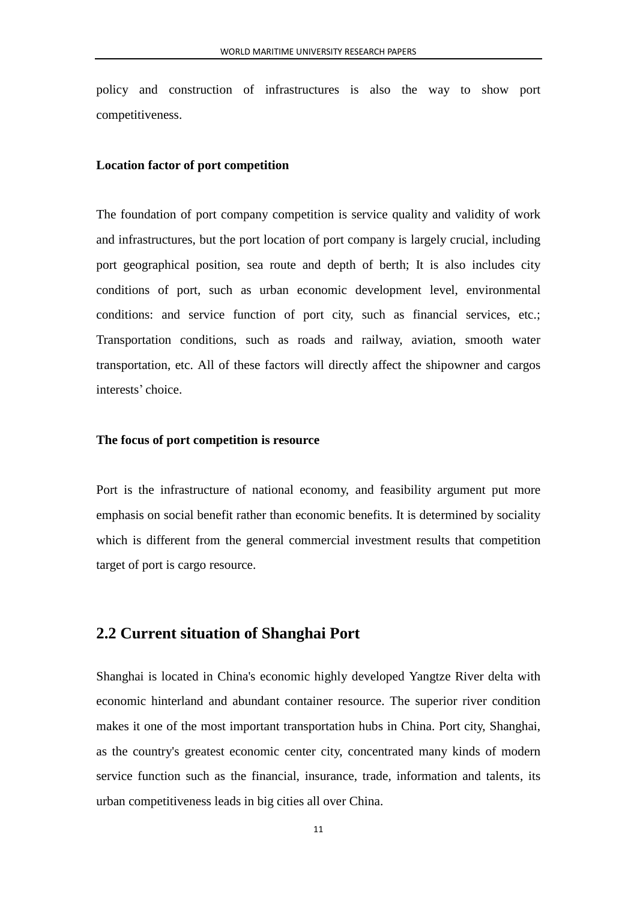policy and construction of infrastructures is also the way to show port competitiveness.

#### **Location factor of port competition**

The foundation of port company competition is service quality and validity of work and infrastructures, but the port location of port company is largely crucial, including port geographical position, sea route and depth of berth; It is also includes city conditions of port, such as urban economic development level, environmental conditions: and service function of port city, such as financial services, etc.; Transportation conditions, such as roads and railway, aviation, smooth water transportation, etc. All of these factors will directly affect the shipowner and cargos interests' choice.

#### **The focus of port competition is resource**

Port is the infrastructure of national economy, and feasibility argument put more emphasis on social benefit rather than economic benefits. It is determined by sociality which is different from the general commercial investment results that competition target of port is cargo resource.

### <span id="page-13-0"></span>**2.2 Current situation of Shanghai Port**

Shanghai is located in China's economic highly developed Yangtze River delta with economic hinterland and abundant container resource. The superior river condition makes it one of the most important transportation hubs in China. Port city, Shanghai, as the country's greatest economic center city, concentrated many kinds of modern service function such as the financial, insurance, trade, information and talents, its urban competitiveness leads in big cities all over China.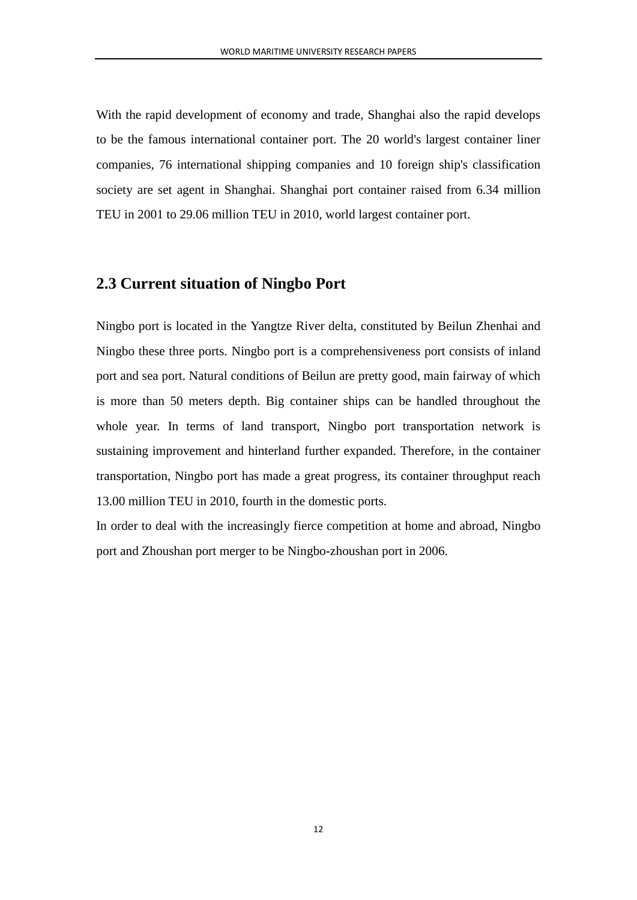With the rapid development of economy and trade, Shanghai also the rapid develops to be the famous international container port. The 20 world's largest container liner companies, 76 international shipping companies and 10 foreign ship's classification society are set agent in Shanghai. Shanghai port container raised from 6.34 million TEU in 2001 to 29.06 million TEU in 2010, world largest container port.

### <span id="page-14-0"></span>**2.3 Current situation of Ningbo Port**

Ningbo port is located in the Yangtze River delta, constituted by Beilun Zhenhai and Ningbo these three ports. Ningbo port is a comprehensiveness port consists of inland port and sea port. Natural conditions of Beilun are pretty good, main fairway of which is more than 50 meters depth. Big container ships can be handled throughout the whole year. In terms of land transport, Ningbo port transportation network is sustaining improvement and hinterland further expanded. Therefore, in the container transportation, Ningbo port has made a great progress, its container throughput reach 13.00 million TEU in 2010, fourth in the domestic ports.

In order to deal with the increasingly fierce competition at home and abroad, Ningbo port and Zhoushan port merger to be Ningbo-zhoushan port in 2006.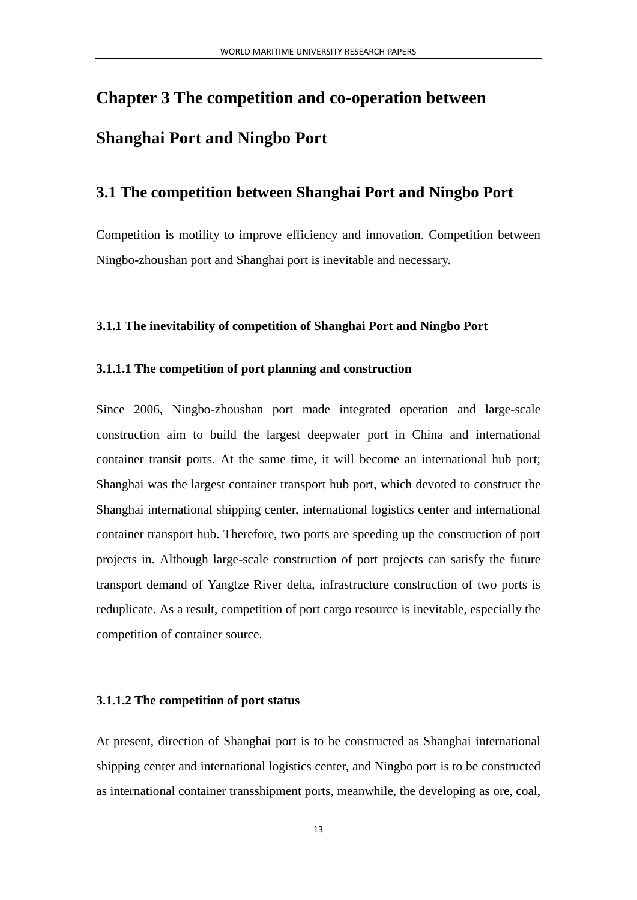# <span id="page-15-0"></span>**Chapter 3 The competition and co-operation between Shanghai Port and Ningbo Port**

### <span id="page-15-1"></span>**3.1 The competition between Shanghai Port and Ningbo Port**

Competition is motility to improve efficiency and innovation. Competition between Ningbo-zhoushan port and Shanghai port is inevitable and necessary.

#### <span id="page-15-2"></span>**3.1.1 The inevitability of competition of Shanghai Port and Ningbo Port**

#### <span id="page-15-3"></span>**3.1.1.1 The competition of port planning and construction**

Since 2006, Ningbo-zhoushan port made integrated operation and large-scale construction aim to build the largest deepwater port in China and international container transit ports. At the same time, it will become an international hub port; Shanghai was the largest container transport hub port, which devoted to construct the Shanghai international shipping center, international logistics center and international container transport hub. Therefore, two ports are speeding up the construction of port projects in. Although large-scale construction of port projects can satisfy the future transport demand of Yangtze River delta, infrastructure construction of two ports is reduplicate. As a result, competition of port cargo resource is inevitable, especially the competition of container source.

#### <span id="page-15-4"></span>**3.1.1.2 The competition of port status**

At present, direction of Shanghai port is to be constructed as Shanghai international shipping center and international logistics center, and Ningbo port is to be constructed as international container transshipment ports, meanwhile, the developing as ore, coal,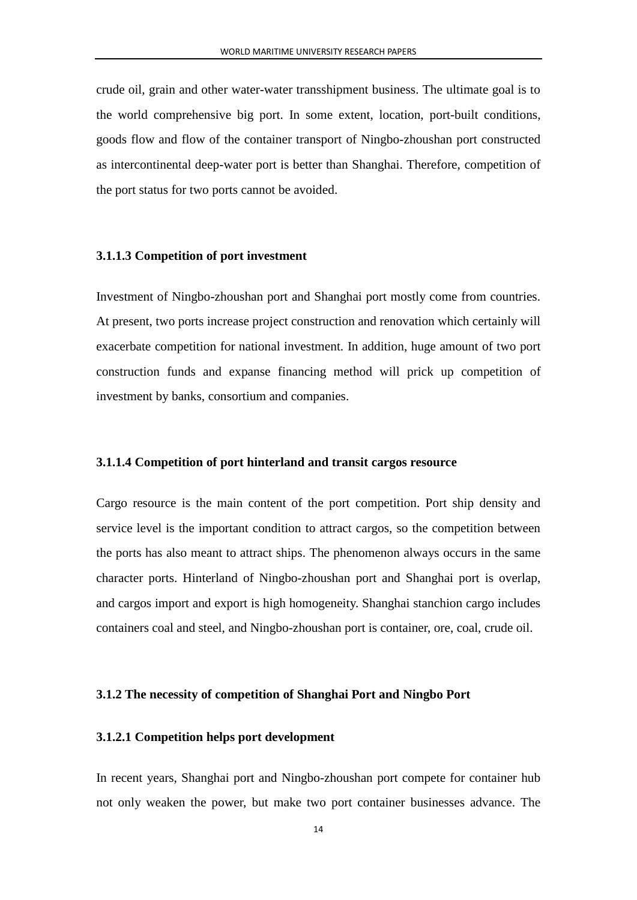crude oil, grain and other water-water transshipment business. The ultimate goal is to the world comprehensive big port. In some extent, location, port-built conditions, goods flow and flow of the container transport of Ningbo-zhoushan port constructed as intercontinental deep-water port is better than Shanghai. Therefore, competition of the port status for two ports cannot be avoided.

#### <span id="page-16-0"></span>**3.1.1.3 Competition of port investment**

Investment of Ningbo-zhoushan port and Shanghai port mostly come from countries. At present, two ports increase project construction and renovation which certainly will exacerbate competition for national investment. In addition, huge amount of two port construction funds and expanse financing method will prick up competition of investment by banks, consortium and companies.

#### <span id="page-16-1"></span>**3.1.1.4 Competition of port hinterland and transit cargos resource**

Cargo resource is the main content of the port competition. Port ship density and service level is the important condition to attract cargos, so the competition between the ports has also meant to attract ships. The phenomenon always occurs in the same character ports. Hinterland of Ningbo-zhoushan port and Shanghai port is overlap, and cargos import and export is high homogeneity. Shanghai stanchion cargo includes containers coal and steel, and Ningbo-zhoushan port is container, ore, coal, crude oil.

#### <span id="page-16-2"></span>**3.1.2 The necessity of competition of Shanghai Port and Ningbo Port**

#### <span id="page-16-3"></span>**3.1.2.1 Competition helps port development**

In recent years, Shanghai port and Ningbo-zhoushan port compete for container hub not only weaken the power, but make two port container businesses advance. The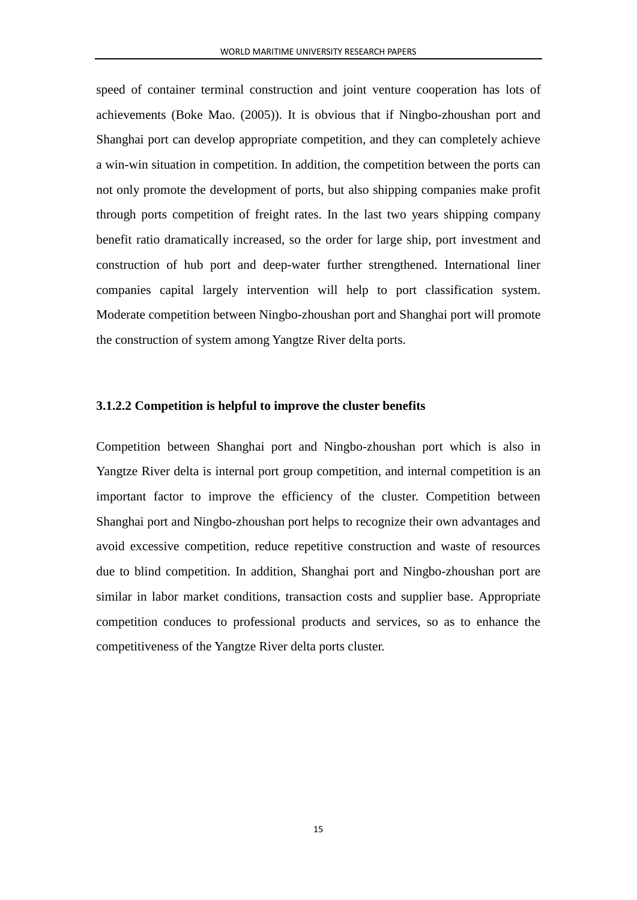speed of container terminal construction and joint venture cooperation has lots of achievements (Boke Mao. (2005)). It is obvious that if Ningbo-zhoushan port and Shanghai port can develop appropriate competition, and they can completely achieve a win-win situation in competition. In addition, the competition between the ports can not only promote the development of ports, but also shipping companies make profit through ports competition of freight rates. In the last two years shipping company benefit ratio dramatically increased, so the order for large ship, port investment and construction of hub port and deep-water further strengthened. International liner companies capital largely intervention will help to port classification system. Moderate competition between Ningbo-zhoushan port and Shanghai port will promote the construction of system among Yangtze River delta ports.

#### <span id="page-17-0"></span>**3.1.2.2 Competition is helpful to improve the cluster benefits**

Competition between Shanghai port and Ningbo-zhoushan port which is also in Yangtze River delta is internal port group competition, and internal competition is an important factor to improve the efficiency of the cluster. Competition between Shanghai port and Ningbo-zhoushan port helps to recognize their own advantages and avoid excessive competition, reduce repetitive construction and waste of resources due to blind competition. In addition, Shanghai port and Ningbo-zhoushan port are similar in labor market conditions, transaction costs and supplier base. Appropriate competition conduces to professional products and services, so as to enhance the competitiveness of the Yangtze River delta ports cluster.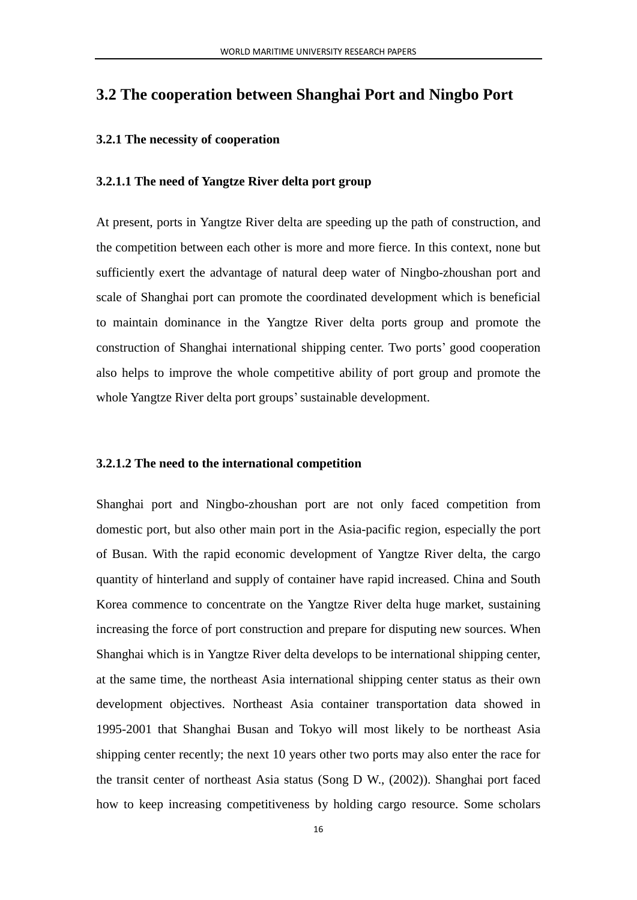## <span id="page-18-0"></span>**3.2 The cooperation between Shanghai Port and Ningbo Port**

#### <span id="page-18-1"></span>**3.2.1 The necessity of cooperation**

#### <span id="page-18-2"></span>**3.2.1.1 The need of Yangtze River delta port group**

At present, ports in Yangtze River delta are speeding up the path of construction, and the competition between each other is more and more fierce. In this context, none but sufficiently exert the advantage of natural deep water of Ningbo-zhoushan port and scale of Shanghai port can promote the coordinated development which is beneficial to maintain dominance in the Yangtze River delta ports group and promote the construction of Shanghai international shipping center. Two ports' good cooperation also helps to improve the whole competitive ability of port group and promote the whole Yangtze River delta port groups'sustainable development.

#### <span id="page-18-3"></span>**3.2.1.2 The need to the international competition**

Shanghai port and Ningbo-zhoushan port are not only faced competition from domestic port, but also other main port in the Asia-pacific region, especially the port of Busan. With the rapid economic development of Yangtze River delta, the cargo quantity of hinterland and supply of container have rapid increased. China and South Korea commence to concentrate on the Yangtze River delta huge market, sustaining increasing the force of port construction and prepare for disputing new sources. When Shanghai which is in Yangtze River delta develops to be international shipping center, at the same time, the northeast Asia international shipping center status as their own development objectives. Northeast Asia container transportation data showed in 1995-2001 that Shanghai Busan and Tokyo will most likely to be northeast Asia shipping center recently; the next 10 years other two ports may also enter the race for the transit center of northeast Asia status (Song D W., (2002)). Shanghai port faced how to keep increasing competitiveness by holding cargo resource. Some scholars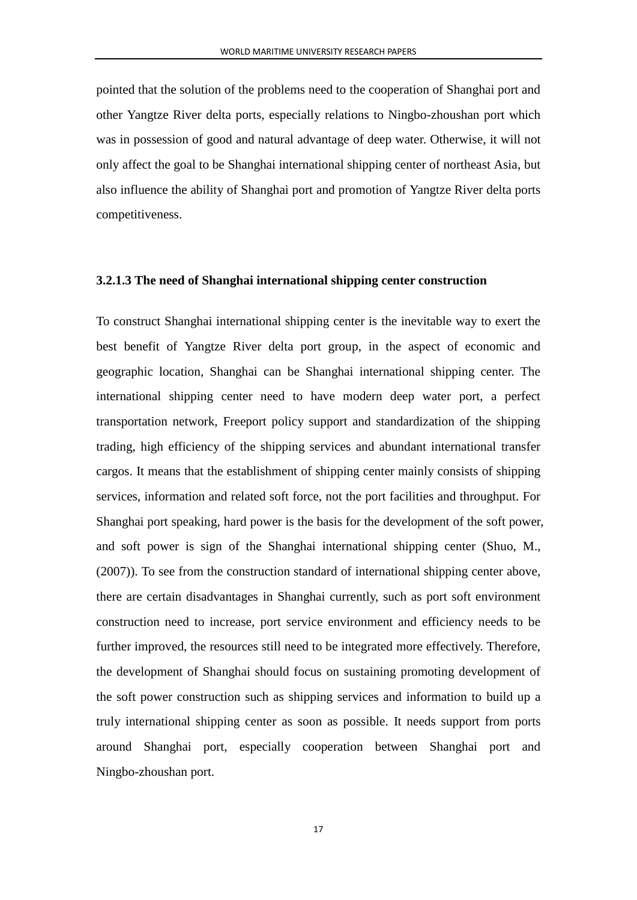pointed that the solution of the problems need to the cooperation of Shanghai port and other Yangtze River delta ports, especially relations to Ningbo-zhoushan port which was in possession of good and natural advantage of deep water. Otherwise, it will not only affect the goal to be Shanghai international shipping center of northeast Asia, but also influence the ability of Shanghai port and promotion of Yangtze River delta ports competitiveness.

#### <span id="page-19-0"></span>**3.2.1.3 The need of Shanghai international shipping center construction**

To construct Shanghai international shipping center is the inevitable way to exert the best benefit of Yangtze River delta port group, in the aspect of economic and geographic location, Shanghai can be Shanghai international shipping center. The international shipping center need to have modern deep water port, a perfect transportation network, Freeport policy support and standardization of the shipping trading, high efficiency of the shipping services and abundant international transfer cargos. It means that the establishment of shipping center mainly consists of shipping services, information and related soft force, not the port facilities and throughput. For Shanghai port speaking, hard power is the basis for the development of the soft power, and soft power is sign of the Shanghai international shipping center (Shuo, M., (2007)). To see from the construction standard of international shipping center above, there are certain disadvantages in Shanghai currently, such as port soft environment construction need to increase, port service environment and efficiency needs to be further improved, the resources still need to be integrated more effectively. Therefore, the development of Shanghai should focus on sustaining promoting development of the soft power construction such as shipping services and information to build up a truly international shipping center as soon as possible. It needs support from ports around Shanghai port, especially cooperation between Shanghai port and Ningbo-zhoushan port.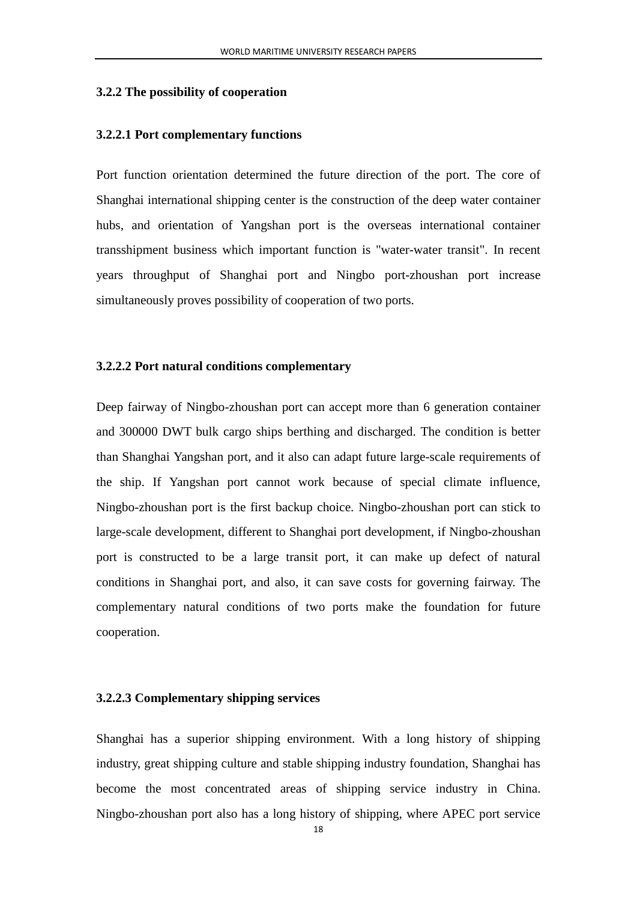#### <span id="page-20-0"></span>**3.2.2 The possibility of cooperation**

#### <span id="page-20-1"></span>**3.2.2.1 Port complementary functions**

Port function orientation determined the future direction of the port. The core of Shanghai international shipping center is the construction of the deep water container hubs, and orientation of Yangshan port is the overseas international container transshipment business which important function is "water-water transit". In recent years throughput of Shanghai port and Ningbo port-zhoushan port increase simultaneously proves possibility of cooperation of two ports.

#### <span id="page-20-2"></span>**3.2.2.2 Port natural conditions complementary**

Deep fairway of Ningbo-zhoushan port can accept more than 6 generation container and 300000 DWT bulk cargo ships berthing and discharged. The condition is better than Shanghai Yangshan port, and it also can adapt future large-scale requirements of the ship. If Yangshan port cannot work because of special climate influence, Ningbo-zhoushan port is the first backup choice. Ningbo-zhoushan port can stick to large-scale development, different to Shanghai port development, if Ningbo-zhoushan port is constructed to be a large transit port, it can make up defect of natural conditions in Shanghai port, and also, it can save costs for governing fairway. The complementary natural conditions of two ports make the foundation for future cooperation.

#### <span id="page-20-3"></span>**3.2.2.3 Complementary shipping services**

Shanghai has a superior shipping environment. With a long history of shipping industry, great shipping culture and stable shipping industry foundation, Shanghai has become the most concentrated areas of shipping service industry in China. Ningbo-zhoushan port also has a long history of shipping, where APEC port service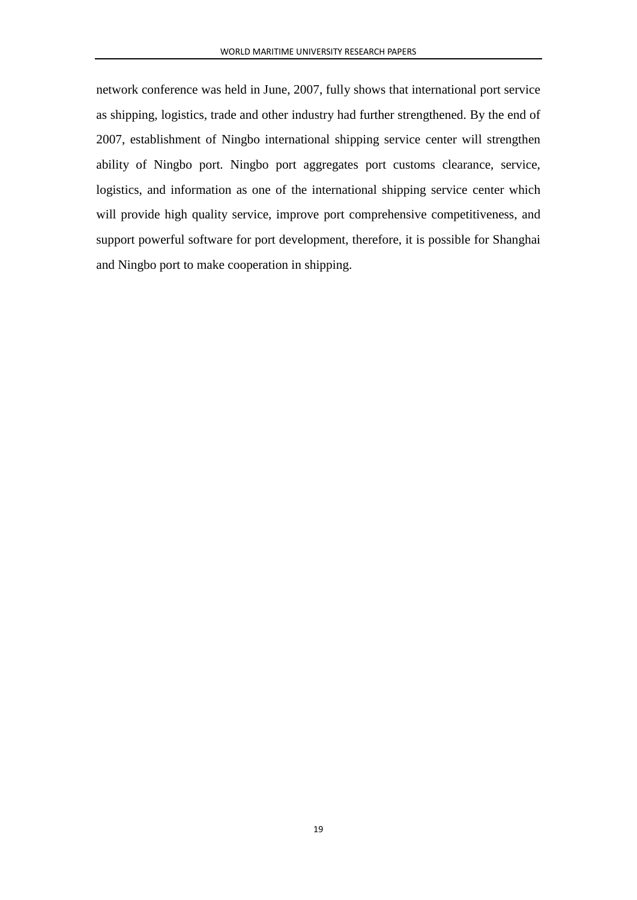network conference was held in June, 2007, fully shows that international port service as shipping, logistics, trade and other industry had further strengthened. By the end of 2007, establishment of Ningbo international shipping service center will strengthen ability of Ningbo port. Ningbo port aggregates port customs clearance, service, logistics, and information as one of the international shipping service center which will provide high quality service, improve port comprehensive competitiveness, and support powerful software for port development, therefore, it is possible for Shanghai and Ningbo port to make cooperation in shipping.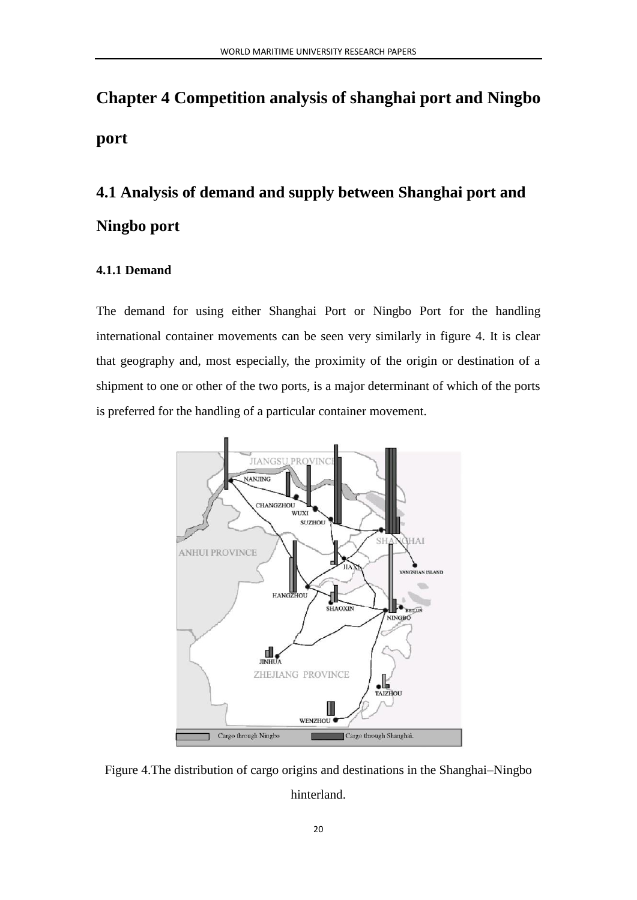# <span id="page-22-0"></span>**Chapter 4 Competition analysis of shanghai port and Ningbo port**

# <span id="page-22-1"></span>**4.1 Analysis of demand and supply between Shanghai port and Ningbo port**

#### <span id="page-22-2"></span>**4.1.1 Demand**

The demand for using either Shanghai Port or Ningbo Port for the handling international container movements can be seen very similarly in figure 4. It is clear that geography and, most especially, the proximity of the origin or destination of a shipment to one or other of the two ports, is a major determinant of which of the ports is preferred for the handling of a particular container movement.



Figure 4.The distribution of cargo origins and destinations in the Shanghai–Ningbo hinterland.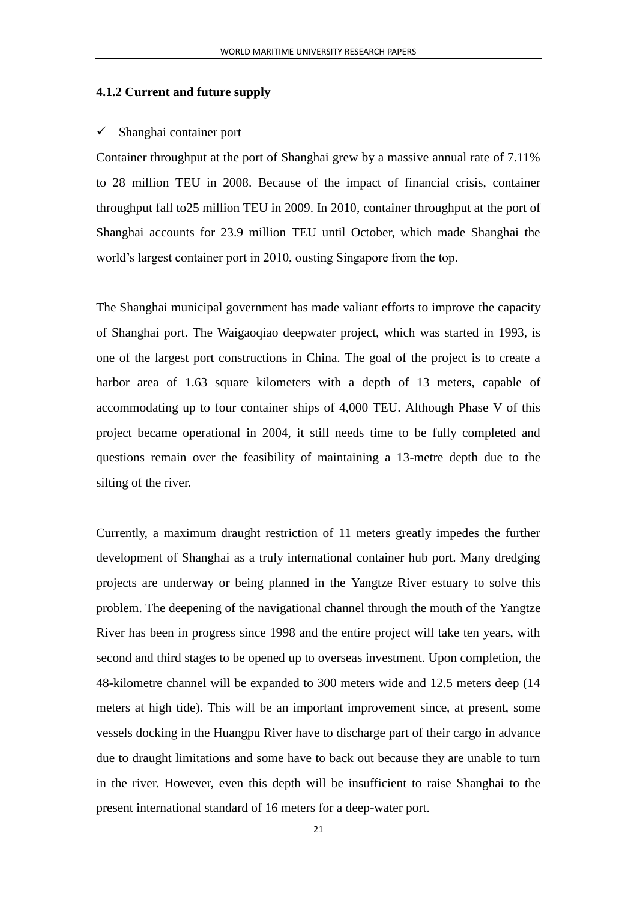#### <span id="page-23-0"></span>**4.1.2 Current and future supply**

#### $\checkmark$  Shanghai container port

Container throughput at the port of Shanghai grew by a massive annual rate of 7.11% to 28 million TEU in 2008. Because of the impact of financial crisis, container throughput fall to25 million TEU in 2009. In 2010, container throughput at the port of Shanghai accounts for 23.9 million TEU until October, which made Shanghai the world's largest container port in 2010, ousting Singapore from the top.

The Shanghai municipal government has made valiant efforts to improve the capacity of Shanghai port. The Waigaoqiao deepwater project, which was started in 1993, is one of the largest port constructions in China. The goal of the project is to create a harbor area of 1.63 square kilometers with a depth of 13 meters, capable of accommodating up to four container ships of 4,000 TEU. Although Phase V of this project became operational in 2004, it still needs time to be fully completed and questions remain over the feasibility of maintaining a 13-metre depth due to the silting of the river.

Currently, a maximum draught restriction of 11 meters greatly impedes the further development of Shanghai as a truly international container hub port. Many dredging projects are underway or being planned in the Yangtze River estuary to solve this problem. The deepening of the navigational channel through the mouth of the Yangtze River has been in progress since 1998 and the entire project will take ten years, with second and third stages to be opened up to overseas investment. Upon completion, the 48-kilometre channel will be expanded to 300 meters wide and 12.5 meters deep (14 meters at high tide). This will be an important improvement since, at present, some vessels docking in the Huangpu River have to discharge part of their cargo in advance due to draught limitations and some have to back out because they are unable to turn in the river. However, even this depth will be insufficient to raise Shanghai to the present international standard of 16 meters for a deep-water port.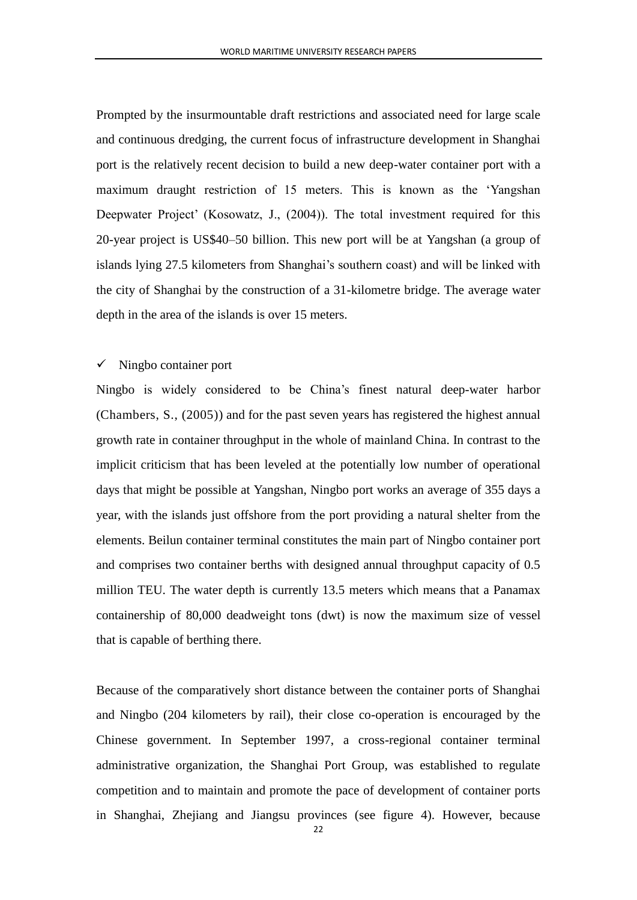Prompted by the insurmountable draft restrictions and associated need for large scale and continuous dredging, the current focus of infrastructure development in Shanghai port is the relatively recent decision to build a new deep-water container port with a maximum draught restriction of 15 meters. This is known as the 'Yangshan Deepwater Project' (Kosowatz, J., (2004)). The total investment required for this 20-year project is US\$40–50 billion. This new port will be at Yangshan (a group of islands lying 27.5 kilometers from Shanghai's southern coast) and will be linked with the city of Shanghai by the construction of a 31-kilometre bridge. The average water depth in the area of the islands is over 15 meters.

#### $\checkmark$  Ningbo container port

Ningbo is widely considered to be China's finest natural deep-water harbor (Chambers, S., (2005)) and for the past seven years has registered the highest annual growth rate in container throughput in the whole of mainland China. In contrast to the implicit criticism that has been leveled at the potentially low number of operational days that might be possible at Yangshan, Ningbo port works an average of 355 days a year, with the islands just offshore from the port providing a natural shelter from the elements. Beilun container terminal constitutes the main part of Ningbo container port and comprises two container berths with designed annual throughput capacity of 0.5 million TEU. The water depth is currently 13.5 meters which means that a Panamax containership of 80,000 deadweight tons (dwt) is now the maximum size of vessel that is capable of berthing there.

Because of the comparatively short distance between the container ports of Shanghai and Ningbo (204 kilometers by rail), their close co-operation is encouraged by the Chinese government. In September 1997, a cross-regional container terminal administrative organization, the Shanghai Port Group, was established to regulate competition and to maintain and promote the pace of development of container ports in Shanghai, Zhejiang and Jiangsu provinces (see figure 4). However, because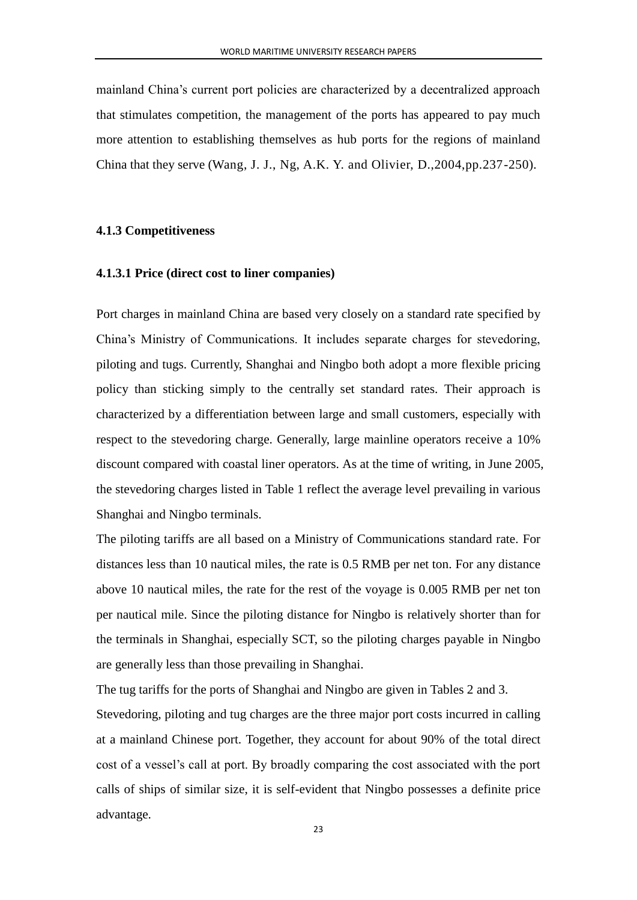mainland China's current port policies are characterized by a decentralized approach that stimulates competition, the management of the ports has appeared to pay much more attention to establishing themselves as hub ports for the regions of mainland China that they serve (Wang, J. J., Ng, A.K. Y. and Olivier, D.,2004,pp.237-250).

#### <span id="page-25-0"></span>**4.1.3 Competitiveness**

#### <span id="page-25-1"></span>**4.1.3.1 Price (direct cost to liner companies)**

Port charges in mainland China are based very closely on a standard rate specified by China's Ministry of Communications. It includes separate charges for stevedoring, piloting and tugs. Currently, Shanghai and Ningbo both adopt a more flexible pricing policy than sticking simply to the centrally set standard rates. Their approach is characterized by a differentiation between large and small customers, especially with respect to the stevedoring charge. Generally, large mainline operators receive a 10% discount compared with coastal liner operators. As at the time of writing, in June 2005, the stevedoring charges listed in Table 1 reflect the average level prevailing in various Shanghai and Ningbo terminals.

The piloting tariffs are all based on a Ministry of Communications standard rate. For distances less than 10 nautical miles, the rate is 0.5 RMB per net ton. For any distance above 10 nautical miles, the rate for the rest of the voyage is 0.005 RMB per net ton per nautical mile. Since the piloting distance for Ningbo is relatively shorter than for the terminals in Shanghai, especially SCT, so the piloting charges payable in Ningbo are generally less than those prevailing in Shanghai.

The tug tariffs for the ports of Shanghai and Ningbo are given in Tables 2 and 3.

Stevedoring, piloting and tug charges are the three major port costs incurred in calling at a mainland Chinese port. Together, they account for about 90% of the total direct cost of a vessel's call at port. By broadly comparing the cost associated with the port calls of ships of similar size, it is self-evident that Ningbo possesses a definite price advantage.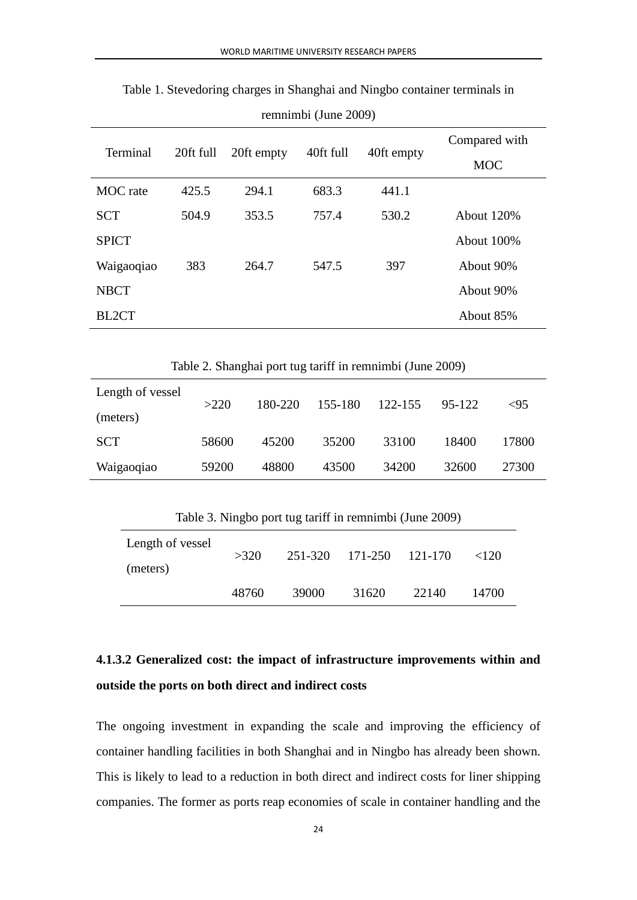| Terminal        | 20ft full | 20ft empty | 40ft full | 40ft empty | Compared with<br><b>MOC</b> |
|-----------------|-----------|------------|-----------|------------|-----------------------------|
| <b>MOC</b> rate | 425.5     | 294.1      | 683.3     | 441.1      |                             |
| <b>SCT</b>      | 504.9     | 353.5      | 757.4     | 530.2      | <b>About 120%</b>           |
| <b>SPICT</b>    |           |            |           |            | About 100%                  |
| Waigaoqiao      | 383       | 264.7      | 547.5     | 397        | About 90%                   |
| <b>NBCT</b>     |           |            |           |            | About 90%                   |
| BL2CT           |           |            |           |            | About 85%                   |

Table 1. Stevedoring charges in Shanghai and Ningbo container terminals in

remnimbi (June 2009)

|  | Table 2. Shanghai port tug tariff in remnimbi (June 2009) |
|--|-----------------------------------------------------------|
|  |                                                           |

| Length of vessel | >220  | 180-220 | 155-180 | 122-155 | 95-122 | <95   |
|------------------|-------|---------|---------|---------|--------|-------|
| (meters)         |       |         |         |         |        |       |
| <b>SCT</b>       | 58600 | 45200   | 35200   | 33100   | 18400  | 17800 |
| Waigaoqiao       | 59200 | 48800   | 43500   | 34200   | 32600  | 27300 |

Table 3. Ningbo port tug tariff in remnimbi (June 2009)

| Length of vessel<br>(meters) | >320  |       | 251-320 171-250 121-170 |       | ${<}120$ |
|------------------------------|-------|-------|-------------------------|-------|----------|
|                              | 48760 | 39000 | 31620                   | 22140 | 14700    |

# <span id="page-26-0"></span>**4.1.3.2 Generalized cost: the impact of infrastructure improvements within and outside the ports on both direct and indirect costs**

The ongoing investment in expanding the scale and improving the efficiency of container handling facilities in both Shanghai and in Ningbo has already been shown. This is likely to lead to a reduction in both direct and indirect costs for liner shipping companies. The former as ports reap economies of scale in container handling and the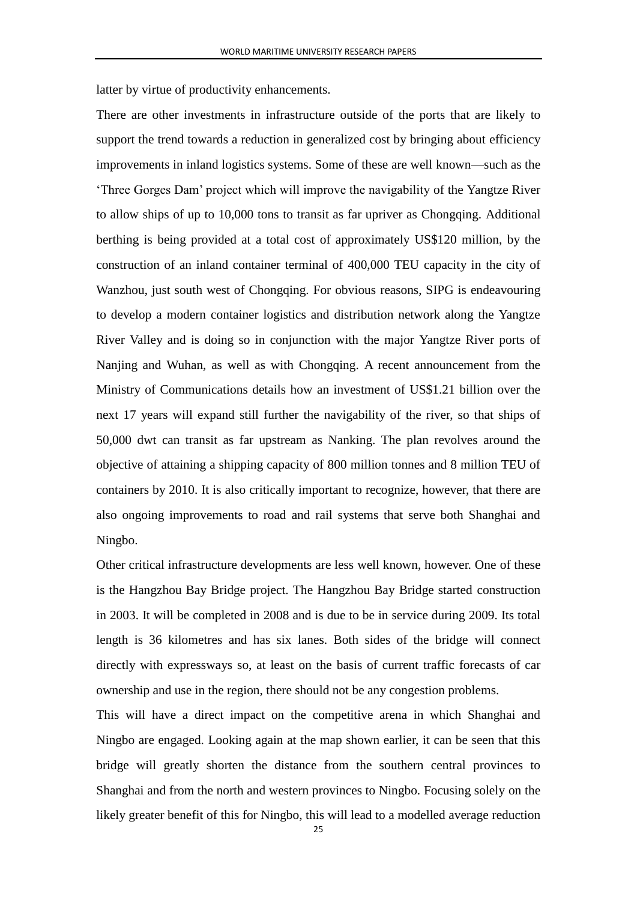latter by virtue of productivity enhancements.

There are other investments in infrastructure outside of the ports that are likely to support the trend towards a reduction in generalized cost by bringing about efficiency improvements in inland logistics systems. Some of these are well known—such as the 'Three Gorges Dam' project which will improve the navigability of the Yangtze River to allow ships of up to 10,000 tons to transit as far upriver as Chongqing. Additional berthing is being provided at a total cost of approximately US\$120 million, by the construction of an inland container terminal of 400,000 TEU capacity in the city of Wanzhou, just south west of Chongqing. For obvious reasons, SIPG is endeavouring to develop a modern container logistics and distribution network along the Yangtze River Valley and is doing so in conjunction with the major Yangtze River ports of Nanjing and Wuhan, as well as with Chongqing. A recent announcement from the Ministry of Communications details how an investment of US\$1.21 billion over the next 17 years will expand still further the navigability of the river, so that ships of 50,000 dwt can transit as far upstream as Nanking. The plan revolves around the objective of attaining a shipping capacity of 800 million tonnes and 8 million TEU of containers by 2010. It is also critically important to recognize, however, that there are also ongoing improvements to road and rail systems that serve both Shanghai and Ningbo.

Other critical infrastructure developments are less well known, however. One of these is the Hangzhou Bay Bridge project. The Hangzhou Bay Bridge started construction in 2003. It will be completed in 2008 and is due to be in service during 2009. Its total length is 36 kilometres and has six lanes. Both sides of the bridge will connect directly with expressways so, at least on the basis of current traffic forecasts of car ownership and use in the region, there should not be any congestion problems.

This will have a direct impact on the competitive arena in which Shanghai and Ningbo are engaged. Looking again at the map shown earlier, it can be seen that this bridge will greatly shorten the distance from the southern central provinces to Shanghai and from the north and western provinces to Ningbo. Focusing solely on the likely greater benefit of this for Ningbo, this will lead to a modelled average reduction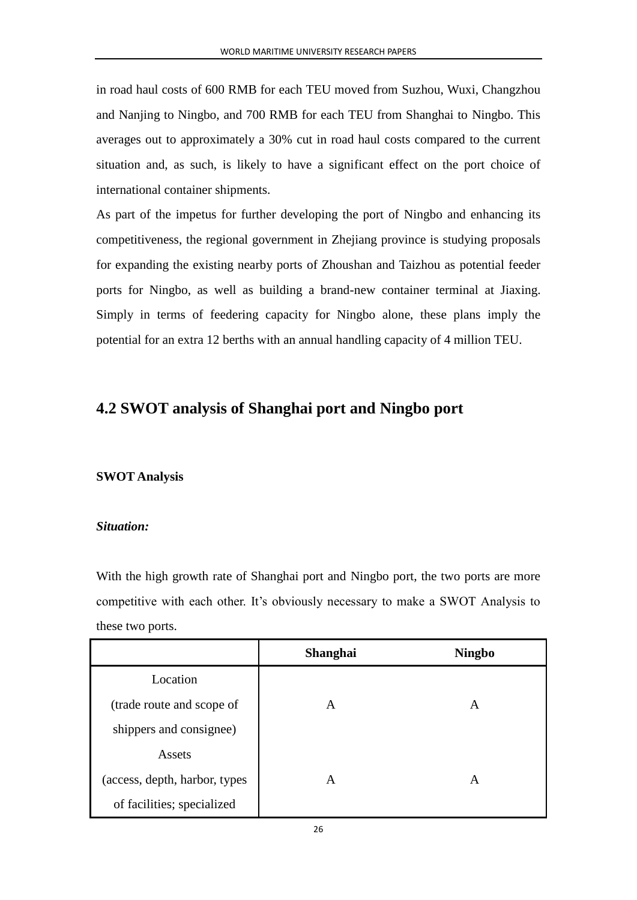in road haul costs of 600 RMB for each TEU moved from Suzhou, Wuxi, Changzhou and Nanjing to Ningbo, and 700 RMB for each TEU from Shanghai to Ningbo. This averages out to approximately a 30% cut in road haul costs compared to the current situation and, as such, is likely to have a significant effect on the port choice of international container shipments.

As part of the impetus for further developing the port of Ningbo and enhancing its competitiveness, the regional government in Zhejiang province is studying proposals for expanding the existing nearby ports of Zhoushan and Taizhou as potential feeder ports for Ningbo, as well as building a brand-new container terminal at Jiaxing. Simply in terms of feedering capacity for Ningbo alone, these plans imply the potential for an extra 12 berths with an annual handling capacity of 4 million TEU.

## <span id="page-28-0"></span>**4.2 SWOT analysis of Shanghai port and Ningbo port**

#### **SWOT Analysis**

#### *Situation:*

With the high growth rate of Shanghai port and Ningbo port, the two ports are more competitive with each other. It's obviously necessary to make a SWOT Analysis to these two ports.

|                               | <b>Shanghai</b> | <b>Ningbo</b> |
|-------------------------------|-----------------|---------------|
| Location                      |                 |               |
| (trade route and scope of     | A               | A             |
| shippers and consignee)       |                 |               |
| Assets                        |                 |               |
| (access, depth, harbor, types | A               | A             |
| of facilities; specialized    |                 |               |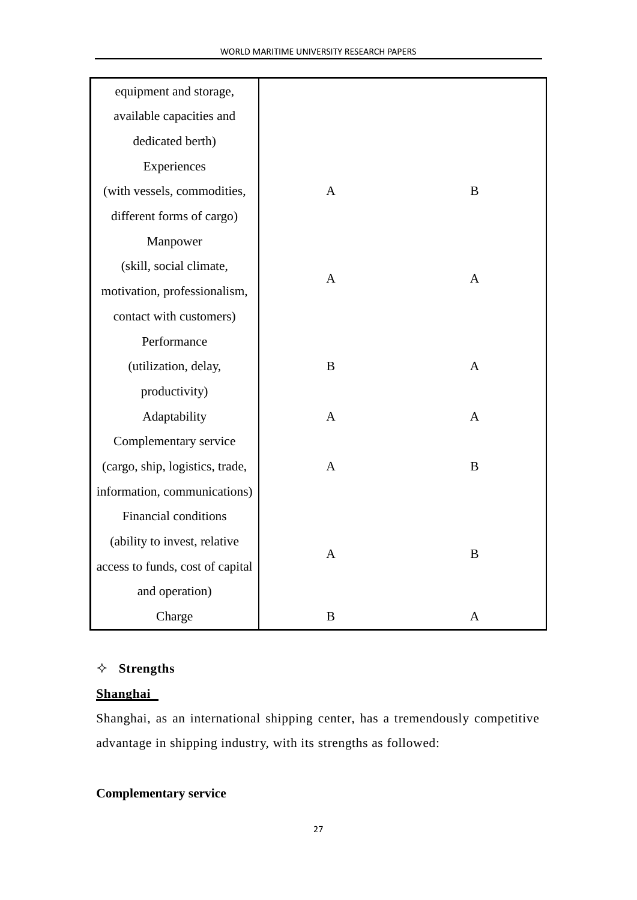| equipment and storage,           |                |              |
|----------------------------------|----------------|--------------|
| available capacities and         |                |              |
| dedicated berth)                 |                |              |
| Experiences                      |                |              |
| (with vessels, commodities,      | $\mathbf{A}$   | B            |
| different forms of cargo)        |                |              |
| Manpower                         |                |              |
| (skill, social climate,          |                |              |
| motivation, professionalism,     | $\mathbf{A}$   | $\mathbf{A}$ |
| contact with customers)          |                |              |
| Performance                      |                |              |
| (utilization, delay,             | $\bf{B}$       | $\mathbf{A}$ |
| productivity)                    |                |              |
| Adaptability                     | $\mathbf{A}$   | $\mathbf{A}$ |
| Complementary service            |                |              |
| (cargo, ship, logistics, trade,  | $\overline{A}$ | $\bf{B}$     |
| information, communications)     |                |              |
| <b>Financial conditions</b>      |                |              |
| (ability to invest, relative     |                |              |
| access to funds, cost of capital | $\overline{A}$ | $\bf{B}$     |
| and operation)                   |                |              |
| Charge                           | B              | $\mathbf{A}$ |

## **Strengths**

### **Shanghai**

Shanghai, as an international shipping center, has a tremendously competitive advantage in shipping industry, with its strengths as followed:

## **Complementary service**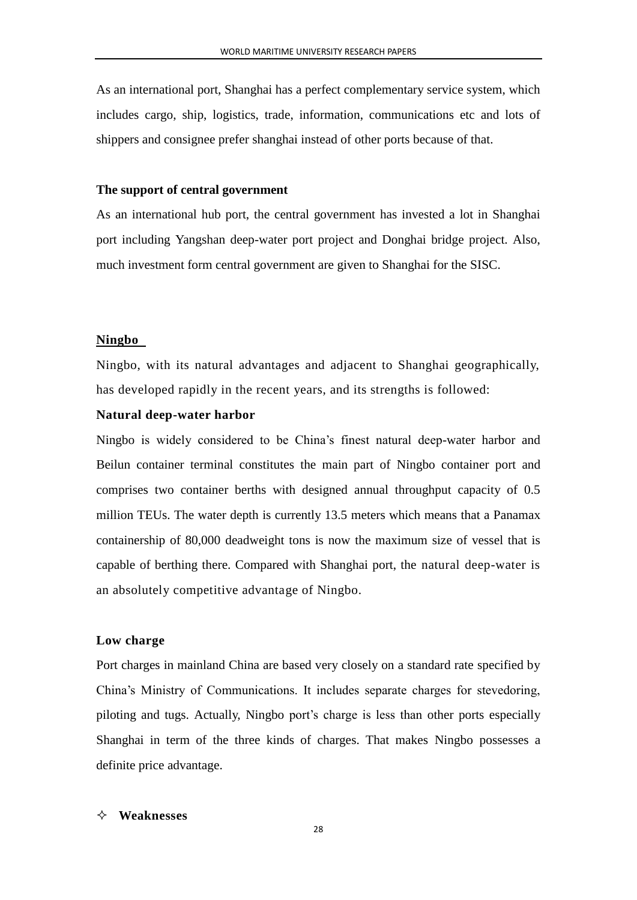As an international port, Shanghai has a perfect complementary service system, which includes cargo, ship, logistics, trade, information, communications etc and lots of shippers and consignee prefer shanghai instead of other ports because of that.

#### **The support of central government**

As an international hub port, the central government has invested a lot in Shanghai port including Yangshan deep-water port project and Donghai bridge project. Also, much investment form central government are given to Shanghai for the SISC.

#### **Ningbo**

Ningbo, with its natural advantages and adjacent to Shanghai geographically, has developed rapidly in the recent years, and its strengths is followed:

#### **Natural deep-water harbor**

Ningbo is widely considered to be China's finest natural deep-water harbor and Beilun container terminal constitutes the main part of Ningbo container port and comprises two container berths with designed annual throughput capacity of 0.5 million TEUs. The water depth is currently 13.5 meters which means that a Panamax containership of 80,000 deadweight tons is now the maximum size of vessel that is capable of berthing there. Compared with Shanghai port, the natural deep-water is an absolutely competitive advantage of Ningbo.

#### **Low charge**

Port charges in mainland China are based very closely on a standard rate specified by China's Ministry of Communications. It includes separate charges for stevedoring, piloting and tugs. Actually, Ningbo port's charge is less than other ports especially Shanghai in term of the three kinds of charges. That makes Ningbo possesses a definite price advantage.

#### **Weaknesses**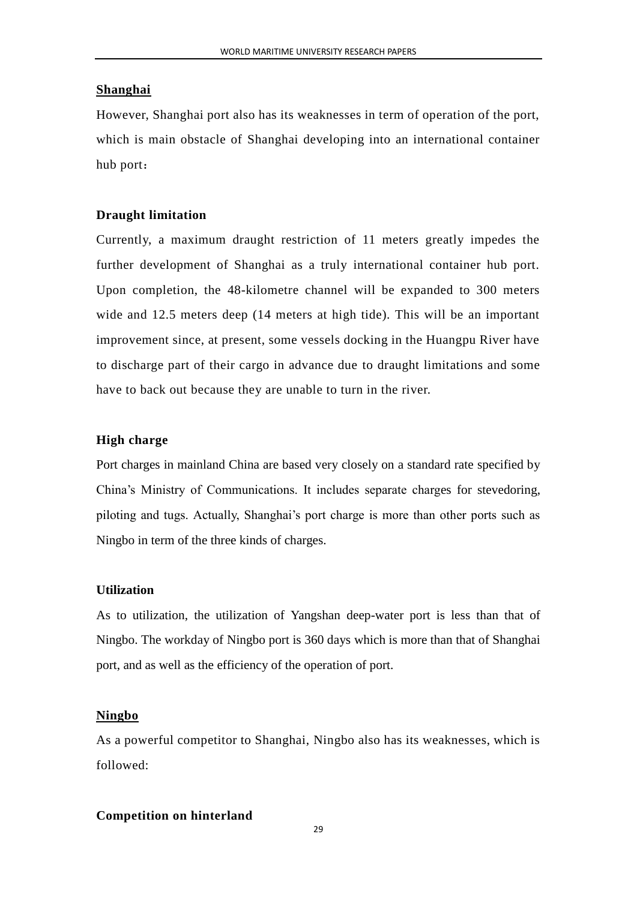#### **Shanghai**

However, Shanghai port also has its weaknesses in term of operation of the port, which is main obstacle of Shanghai developing into an international container hub port:

#### **Draught limitation**

Currently, a maximum draught restriction of 11 meters greatly impedes the further development of Shanghai as a truly international container hub port. Upon completion, the 48-kilometre channel will be expanded to 300 meters wide and 12.5 meters deep (14 meters at high tide). This will be an important improvement since, at present, some vessels docking in the Huangpu River have to discharge part of their cargo in advance due to draught limitations and some have to back out because they are unable to turn in the river.

#### **High charge**

Port charges in mainland China are based very closely on a standard rate specified by China's Ministry of Communications. It includes separate charges for stevedoring, piloting and tugs. Actually, Shanghai's port charge is more than other ports such as Ningbo in term of the three kinds of charges.

#### **Utilization**

As to utilization, the utilization of Yangshan deep-water port is less than that of Ningbo. The workday of Ningbo port is 360 days which is more than that of Shanghai port, and as well as the efficiency of the operation of port.

#### **Ningbo**

As a powerful competitor to Shanghai, Ningbo also has its weaknesses, which is followed:

#### **Competition on hinterland**

 $29$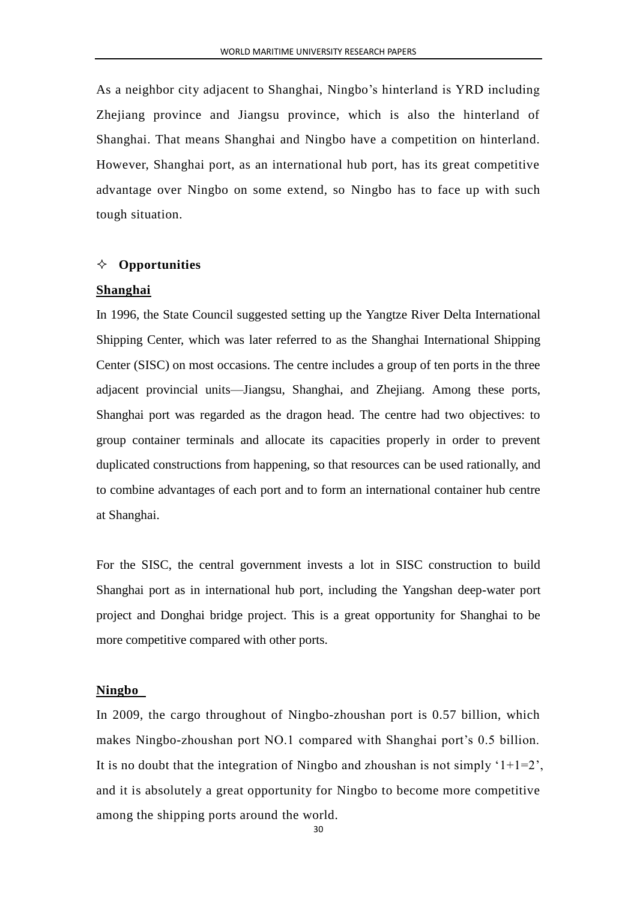As a neighbor city adjacent to Shanghai, Ningbo's hinterland is YRD including Zhejiang province and Jiangsu province, which is also the hinterland of Shanghai. That means Shanghai and Ningbo have a competition on hinterland. However, Shanghai port, as an international hub port, has its great competitive advantage over Ningbo on some extend, so Ningbo has to face up with such tough situation.

#### **Opportunities**

#### **Shanghai**

In 1996, the State Council suggested setting up the Yangtze River Delta International Shipping Center, which was later referred to as the Shanghai International Shipping Center (SISC) on most occasions. The centre includes a group of ten ports in the three adjacent provincial units—Jiangsu, Shanghai, and Zhejiang. Among these ports, Shanghai port was regarded as the dragon head. The centre had two objectives: to group container terminals and allocate its capacities properly in order to prevent duplicated constructions from happening, so that resources can be used rationally, and to combine advantages of each port and to form an international container hub centre at Shanghai.

For the SISC, the central government invests a lot in SISC construction to build Shanghai port as in international hub port, including the Yangshan deep-water port project and Donghai bridge project. This is a great opportunity for Shanghai to be more competitive compared with other ports.

#### **Ningbo**

In 2009, the cargo throughout of Ningbo-zhoushan port is 0.57 billion, which makes Ningbo-zhoushan port NO.1 compared with Shanghai port's 0.5 billion. It is no doubt that the integration of Ningbo and zhoushan is not simply  $1+1=2$ , and it is absolutely a great opportunity for Ningbo to become more competitive among the shipping ports around the world.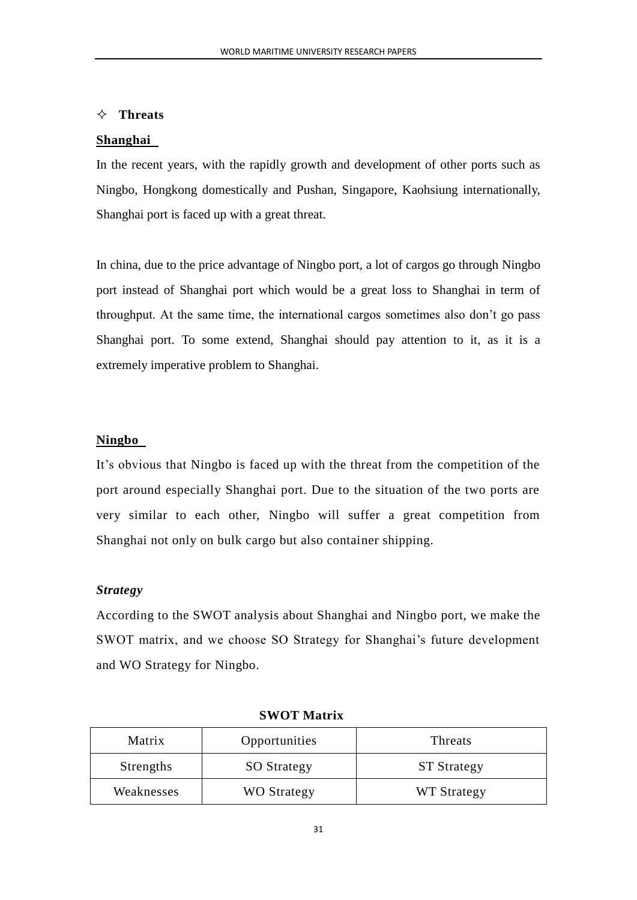#### **Threats**

#### **Shanghai**

In the recent years, with the rapidly growth and development of other ports such as Ningbo, Hongkong domestically and Pushan, Singapore, Kaohsiung internationally, Shanghai port is faced up with a great threat.

In china, due to the price advantage of Ningbo port, a lot of cargos go through Ningbo port instead of Shanghai port which would be a great loss to Shanghai in term of throughput. At the same time, the international cargos sometimes also don't go pass Shanghai port. To some extend, Shanghai should pay attention to it, as it is a extremely imperative problem to Shanghai.

#### **Ningbo**

It's obvious that Ningbo is faced up with the threat from the competition of the port around especially Shanghai port. Due to the situation of the two ports are very similar to each other, Ningbo will suffer a great competition from Shanghai not only on bulk cargo but also container shipping.

#### *Strategy*

According to the SWOT analysis about Shanghai and Ningbo port, we make the SWOT matrix, and we choose SO Strategy for Shanghai's future development and WO Strategy for Ningbo.

| Matrix     | Opportunities      | Threats            |
|------------|--------------------|--------------------|
| Strengths  | <b>SO</b> Strategy | <b>ST Strategy</b> |
| Weaknesses | <b>WO Strategy</b> | WT Strategy        |

#### **SWOT Matrix**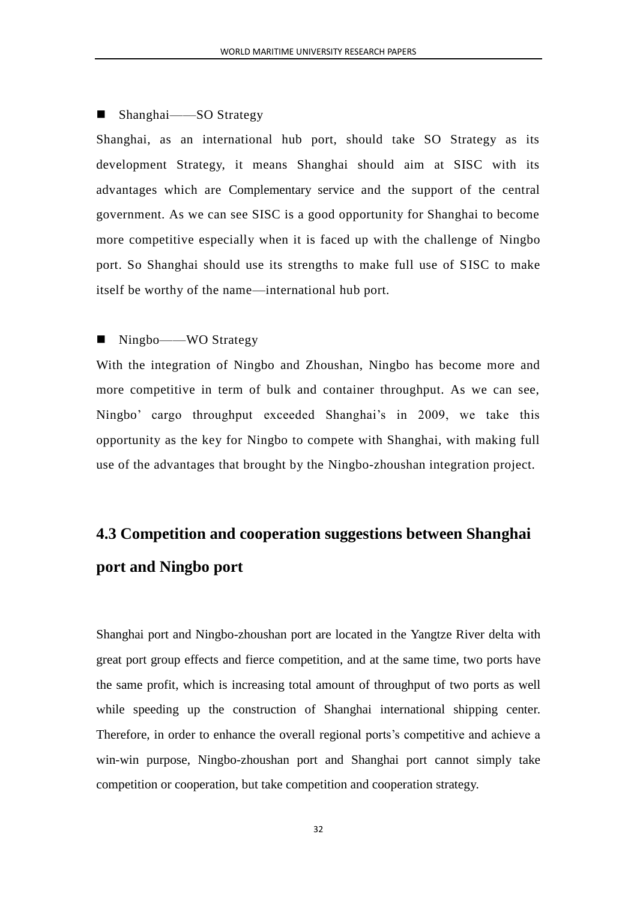#### ■ Shanghai——SO Strategy

Shanghai, as an international hub port, should take SO Strategy as its development Strategy, it means Shanghai should aim at SISC with its advantages which are Complementary service and the support of the central government. As we can see SISC is a good opportunity for Shanghai to become more competitive especially when it is faced up with the challenge of Ningbo port. So Shanghai should use its strengths to make full use of SISC to make itself be worthy of the name—international hub port.

### ■ Ningbo——WO Strategy

With the integration of Ningbo and Zhoushan, Ningbo has become more and more competitive in term of bulk and container throughput. As we can see, Ningbo' cargo throughput exceeded Shanghai's in 2009, we take this opportunity as the key for Ningbo to compete with Shanghai, with making full use of the advantages that brought by the Ningbo-zhoushan integration project.

# <span id="page-34-0"></span>**4.3 Competition and cooperation suggestions between Shanghai port and Ningbo port**

Shanghai port and Ningbo-zhoushan port are located in the Yangtze River delta with great port group effects and fierce competition, and at the same time, two ports have the same profit, which is increasing total amount of throughput of two ports as well while speeding up the construction of Shanghai international shipping center. Therefore, in order to enhance the overall regional ports's competitive and achieve a win-win purpose, Ningbo-zhoushan port and Shanghai port cannot simply take competition or cooperation, but take competition and cooperation strategy.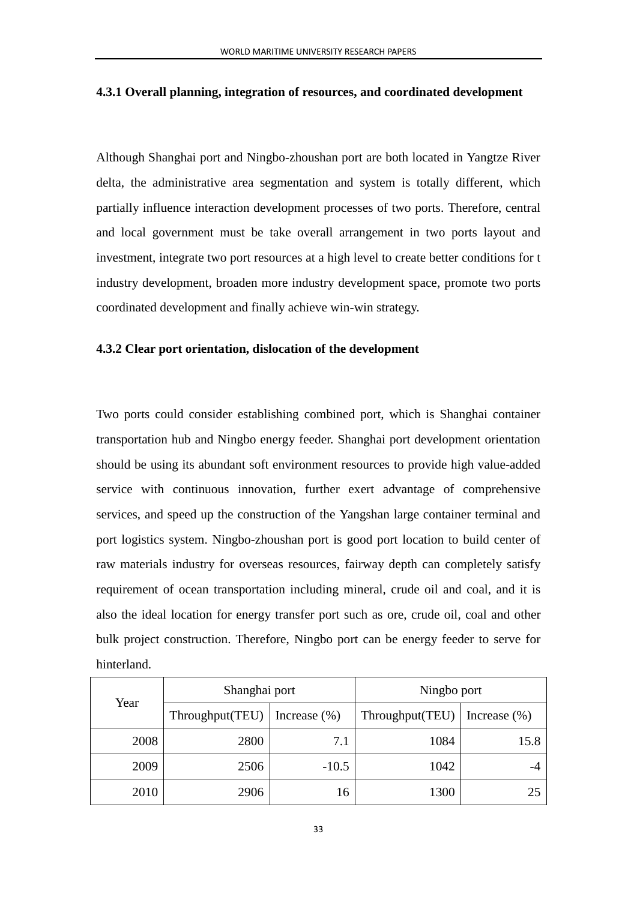#### <span id="page-35-0"></span>**4.3.1 Overall planning, integration of resources, and coordinated development**

Although Shanghai port and Ningbo-zhoushan port are both located in Yangtze River delta, the administrative area segmentation and system is totally different, which partially influence interaction development processes of two ports. Therefore, central and local government must be take overall arrangement in two ports layout and investment, integrate two port resources at a high level to create better conditions for t industry development, broaden more industry development space, promote two ports coordinated development and finally achieve win-win strategy.

#### <span id="page-35-1"></span>**4.3.2 Clear port orientation, dislocation of the development**

Two ports could consider establishing combined port, which is Shanghai container transportation hub and Ningbo energy feeder. Shanghai port development orientation should be using its abundant soft environment resources to provide high value-added service with continuous innovation, further exert advantage of comprehensive services, and speed up the construction of the Yangshan large container terminal and port logistics system. Ningbo-zhoushan port is good port location to build center of raw materials industry for overseas resources, fairway depth can completely satisfy requirement of ocean transportation including mineral, crude oil and coal, and it is also the ideal location for energy transfer port such as ore, crude oil, coal and other bulk project construction. Therefore, Ningbo port can be energy feeder to serve for hinterland.

| Year | Shanghai port   |                  | Ningbo port      |                  |
|------|-----------------|------------------|------------------|------------------|
|      | Throughput(TEU) | Increase $(\% )$ | Throughout (TEU) | Increase $(\% )$ |
| 2008 | 2800            | 7.1              | 1084             | 15.8             |
| 2009 | 2506            | $-10.5$          | 1042             |                  |
| 2010 | 2906            | 16               | 1300             | 25               |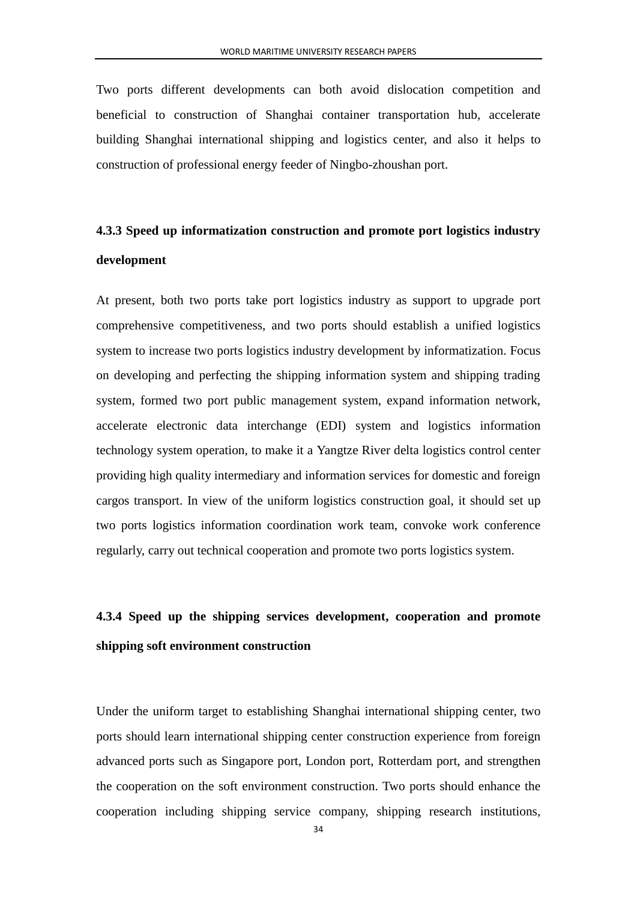Two ports different developments can both avoid dislocation competition and beneficial to construction of Shanghai container transportation hub, accelerate building Shanghai international shipping and logistics center, and also it helps to construction of professional energy feeder of Ningbo-zhoushan port.

# <span id="page-36-0"></span>**4.3.3 Speed up informatization construction and promote port logistics industry development**

At present, both two ports take port logistics industry as support to upgrade port comprehensive competitiveness, and two ports should establish a unified logistics system to increase two ports logistics industry development by informatization. Focus on developing and perfecting the shipping information system and shipping trading system, formed two port public management system, expand information network, accelerate electronic data interchange (EDI) system and logistics information technology system operation, to make it a Yangtze River delta logistics control center providing high quality intermediary and information services for domestic and foreign cargos transport. In view of the uniform logistics construction goal, it should set up two ports logistics information coordination work team, convoke work conference regularly, carry out technical cooperation and promote two ports logistics system.

# <span id="page-36-1"></span>**4.3.4 Speed up the shipping services development, cooperation and promote shipping soft environment construction**

Under the uniform target to establishing Shanghai international shipping center, two ports should learn international shipping center construction experience from foreign advanced ports such as Singapore port, London port, Rotterdam port, and strengthen the cooperation on the soft environment construction. Two ports should enhance the cooperation including shipping service company, shipping research institutions,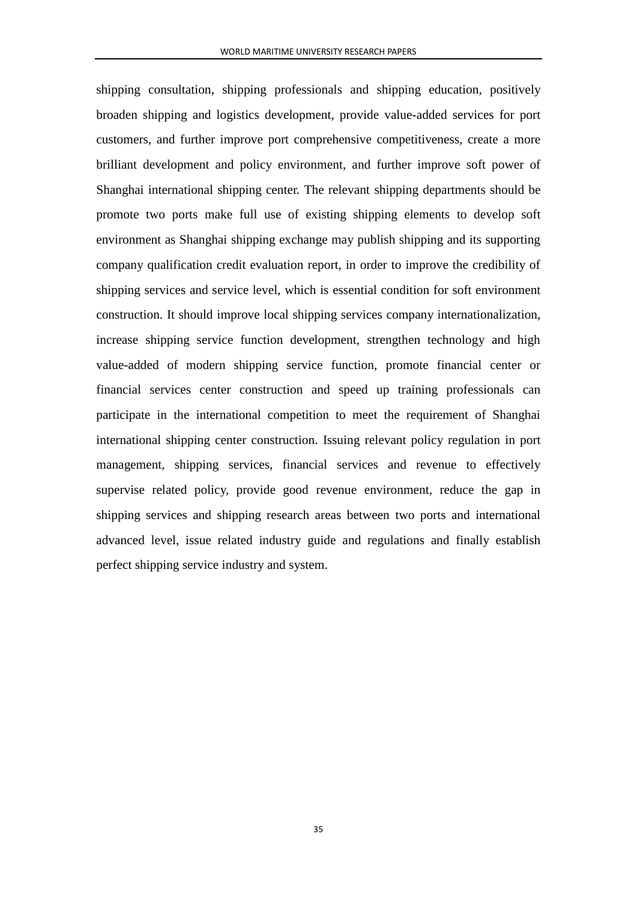shipping consultation, shipping professionals and shipping education, positively broaden shipping and logistics development, provide value-added services for port customers, and further improve port comprehensive competitiveness, create a more brilliant development and policy environment, and further improve soft power of Shanghai international shipping center. The relevant shipping departments should be promote two ports make full use of existing shipping elements to develop soft environment as Shanghai shipping exchange may publish shipping and its supporting company qualification credit evaluation report, in order to improve the credibility of shipping services and service level, which is essential condition for soft environment construction. It should improve local shipping services company internationalization, increase shipping service function development, strengthen technology and high value-added of modern shipping service function, promote financial center or financial services center construction and speed up training professionals can participate in the international competition to meet the requirement of Shanghai international shipping center construction. Issuing relevant policy regulation in port management, shipping services, financial services and revenue to effectively supervise related policy, provide good revenue environment, reduce the gap in shipping services and shipping research areas between two ports and international advanced level, issue related industry guide and regulations and finally establish perfect shipping service industry and system.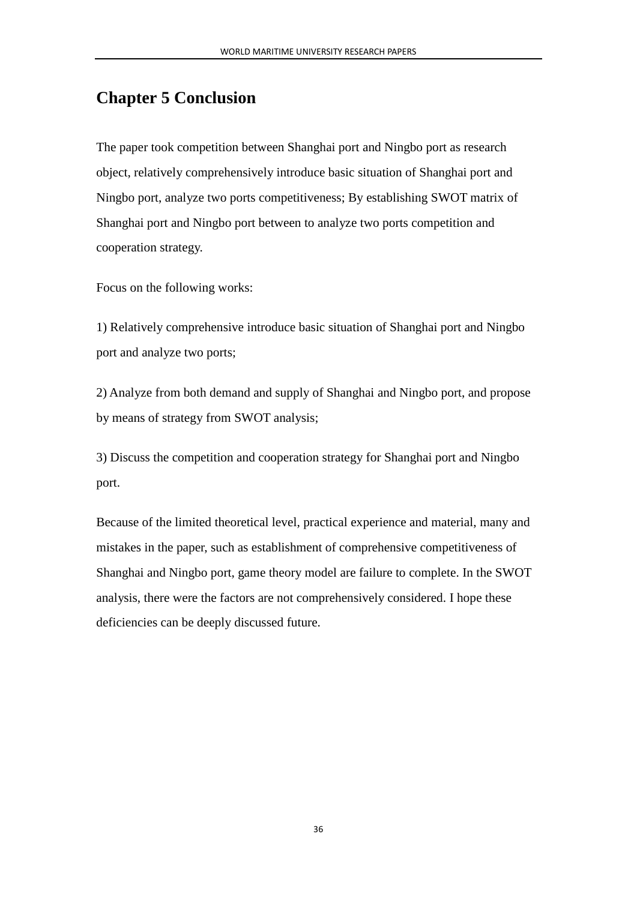## <span id="page-38-0"></span>**Chapter 5 Conclusion**

The paper took competition between Shanghai port and Ningbo port as research object, relatively comprehensively introduce basic situation of Shanghai port and Ningbo port, analyze two ports competitiveness; By establishing SWOT matrix of Shanghai port and Ningbo port between to analyze two ports competition and cooperation strategy.

Focus on the following works:

1) Relatively comprehensive introduce basic situation of Shanghai port and Ningbo port and analyze two ports;

2) Analyze from both demand and supply of Shanghai and Ningbo port, and propose by means of strategy from SWOT analysis;

3) Discuss the competition and cooperation strategy for Shanghai port and Ningbo port.

Because of the limited theoretical level, practical experience and material, many and mistakes in the paper, such as establishment of comprehensive competitiveness of Shanghai and Ningbo port, game theory model are failure to complete. In the SWOT analysis, there were the factors are not comprehensively considered. I hope these deficiencies can be deeply discussed future.

36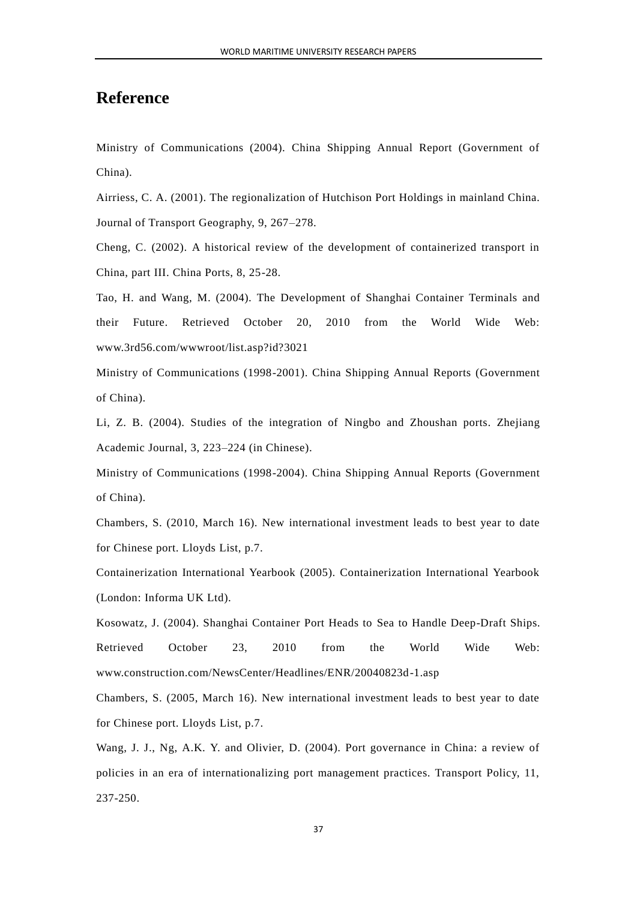## <span id="page-39-0"></span>**Reference**

Ministry of Communications (2004). China Shipping Annual Report (Government of China).

Airriess, C. A. (2001). The regionalization of Hutchison Port Holdings in mainland China. Journal of Transport Geography, 9, 267–278.

Cheng, C. (2002). A historical review of the development of containerized transport in China, part III. China Ports, 8, 25-28.

Tao, H. and Wang, M. (2004). The Development of Shanghai Container Terminals and their Future. Retrieved October 20, 2010 from the World Wide Web: www.3rd56.com/wwwroot/list.asp?id?3021

Ministry of Communications (1998-2001). China Shipping Annual Reports (Government of China).

Li, Z. B. (2004). Studies of the integration of Ningbo and Zhoushan ports. Zhejiang Academic Journal, 3, 223–224 (in Chinese).

Ministry of Communications (1998-2004). China Shipping Annual Reports (Government of China).

Chambers, S. (2010, March 16). New international investment leads to best year to date for Chinese port. Lloyds List, p.7.

Containerization International Yearbook (2005). Containerization International Yearbook (London: Informa UK Ltd).

Kosowatz, J. (2004). Shanghai Container Port Heads to Sea to Handle Deep-Draft Ships. Retrieved October 23, 2010 from the World Wide Web: www.construction.com/NewsCenter/Headlines/ENR/20040823d-1.asp

Chambers, S. (2005, March 16). New international investment leads to best year to date for Chinese port. Lloyds List, p.7.

Wang, J. J., Ng, A.K. Y. and Olivier, D. (2004). Port governance in China: a review of policies in an era of internationalizing port management practices. Transport Policy, 11, 237-250.

37